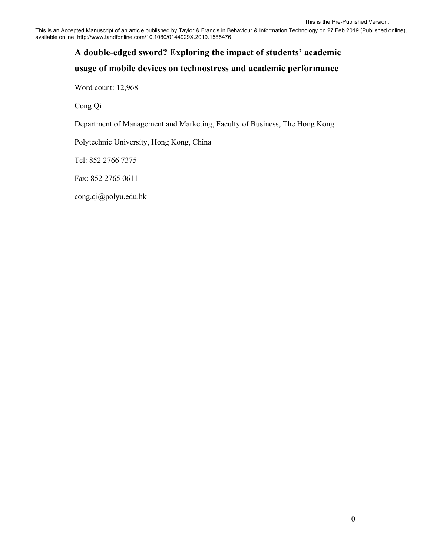This is an Accepted Manuscript of an article published by Taylor & Francis in Behaviour & Information Technology on 27 Feb 2019 (Published online), available online: http://www.tandfonline.com/10.1080/0144929X.2019.1585476

# **A double-edged sword? Exploring the impact of students' academic**

# **usage of mobile devices on technostress and academic performance**

Word count: 12,968

Cong Qi

Department of Management and Marketing, Faculty of Business, The Hong Kong

Polytechnic University, Hong Kong, China

Tel: 852 2766 7375

Fax: 852 2765 0611

cong.qi@polyu.edu.hk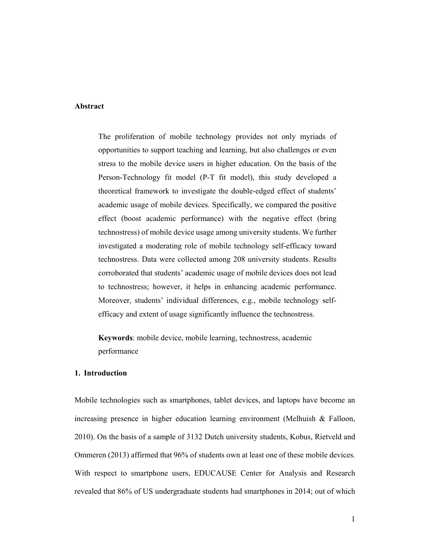### **Abstract**

The proliferation of mobile technology provides not only myriads of opportunities to support teaching and learning, but also challenges or even stress to the mobile device users in higher education. On the basis of the Person-Technology fit model (P-T fit model), this study developed a theoretical framework to investigate the double-edged effect of students' academic usage of mobile devices. Specifically, we compared the positive effect (boost academic performance) with the negative effect (bring technostress) of mobile device usage among university students. We further investigated a moderating role of mobile technology self-efficacy toward technostress. Data were collected among 208 university students. Results corroborated that students' academic usage of mobile devices does not lead to technostress; however, it helps in enhancing academic performance. Moreover, students' individual differences, e.g., mobile technology selfefficacy and extent of usage significantly influence the technostress.

**Keywords**: mobile device, mobile learning, technostress, academic performance

#### **1. Introduction**

Mobile technologies such as smartphones, tablet devices, and laptops have become an increasing presence in higher education learning environment (Melhuish & Falloon, 2010). On the basis of a sample of 3132 Dutch university students, Kobus, Rietveld and Ommeren (2013) affirmed that 96% of students own at least one of these mobile devices. With respect to smartphone users, EDUCAUSE Center for Analysis and Research revealed that 86% of US undergraduate students had smartphones in 2014; out of which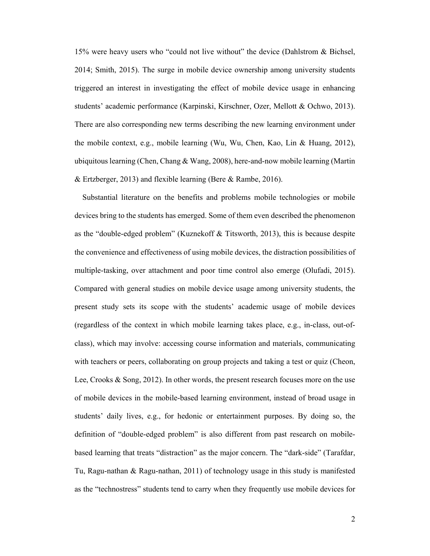15% were heavy users who "could not live without" the device (Dahlstrom & Bichsel, 2014; Smith, 2015). The surge in mobile device ownership among university students triggered an interest in investigating the effect of mobile device usage in enhancing students' academic performance (Karpinski, Kirschner, Ozer, Mellott & Ochwo, 2013). There are also corresponding new terms describing the new learning environment under the mobile context, e.g., mobile learning (Wu, Wu, Chen, Kao, Lin & Huang, 2012), ubiquitous learning (Chen, Chang & Wang, 2008), here-and-now mobile learning (Martin & Ertzberger, 2013) and flexible learning (Bere & Rambe, 2016).

 Substantial literature on the benefits and problems mobile technologies or mobile devices bring to the students has emerged. Some of them even described the phenomenon as the "double-edged problem" (Kuznekoff & Titsworth, 2013), this is because despite the convenience and effectiveness of using mobile devices, the distraction possibilities of multiple-tasking, over attachment and poor time control also emerge (Olufadi, 2015). Compared with general studies on mobile device usage among university students, the present study sets its scope with the students' academic usage of mobile devices (regardless of the context in which mobile learning takes place, e.g., in-class, out-ofclass), which may involve: accessing course information and materials, communicating with teachers or peers, collaborating on group projects and taking a test or quiz (Cheon, Lee, Crooks & Song, 2012). In other words, the present research focuses more on the use of mobile devices in the mobile-based learning environment, instead of broad usage in students' daily lives, e.g., for hedonic or entertainment purposes. By doing so, the definition of "double-edged problem" is also different from past research on mobilebased learning that treats "distraction" as the major concern. The "dark-side" (Tarafdar, Tu, Ragu-nathan & Ragu-nathan, 2011) of technology usage in this study is manifested as the "technostress" students tend to carry when they frequently use mobile devices for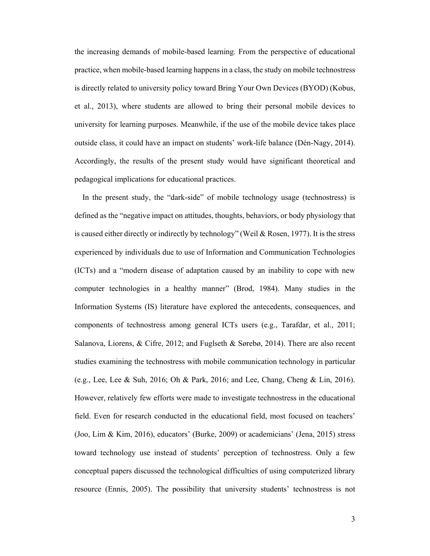the increasing demands of mobile-based learning. From the perspective of educational practice, when mobile-based learning happens in a class, the study on mobile technostress is directly related to university policy toward Bring Your Own Devices (BYOD) (Kobus, et al., 2013), where students are allowed to bring their personal mobile devices to university for learning purposes. Meanwhile, if the use of the mobile device takes place outside class, it could have an impact on students' work-life balance (Dén-Nagy, 2014). Accordingly, the results of the present study would have significant theoretical and pedagogical implications for educational practices.

 In the present study, the "dark-side" of mobile technology usage (technostress) is defined as the "negative impact on attitudes, thoughts, behaviors, or body physiology that is caused either directly or indirectly by technology" (Weil & Rosen, 1977). It is the stress experienced by individuals due to use of Information and Communication Technologies (ICTs) and a "modern disease of adaptation caused by an inability to cope with new computer technologies in a healthy manner" (Brod, 1984). Many studies in the Information Systems (IS) literature have explored the antecedents, consequences, and components of technostress among general ICTs users (e.g., Tarafdar, et al., 2011; Salanova, Liorens, & Cifre, 2012; and Fuglseth & Sørebø, 2014). There are also recent studies examining the technostress with mobile communication technology in particular (e.g., Lee, Lee & Suh, 2016; Oh & Park, 2016; and Lee, Chang, Cheng & Lin, 2016). However, relatively few efforts were made to investigate technostress in the educational field. Even for research conducted in the educational field, most focused on teachers' (Joo, Lim & Kim, 2016), educators' (Burke, 2009) or academicians' (Jena, 2015) stress toward technology use instead of students' perception of technostress. Only a few conceptual papers discussed the technological difficulties of using computerized library resource (Ennis, 2005). The possibility that university students' technostress is not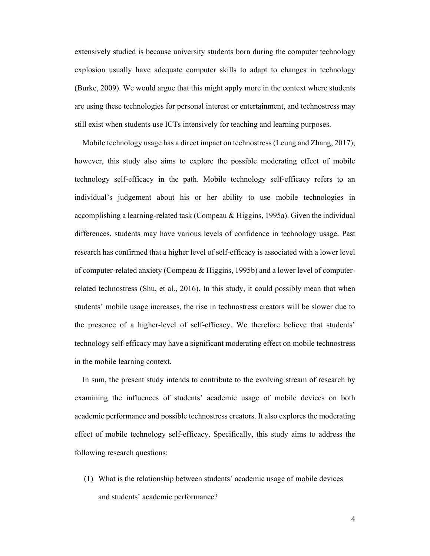extensively studied is because university students born during the computer technology explosion usually have adequate computer skills to adapt to changes in technology (Burke, 2009). We would argue that this might apply more in the context where students are using these technologies for personal interest or entertainment, and technostress may still exist when students use ICTs intensively for teaching and learning purposes.

 Mobile technology usage has a direct impact on technostress (Leung and Zhang, 2017); however, this study also aims to explore the possible moderating effect of mobile technology self-efficacy in the path. Mobile technology self-efficacy refers to an individual's judgement about his or her ability to use mobile technologies in accomplishing a learning-related task (Compeau & Higgins, 1995a). Given the individual differences, students may have various levels of confidence in technology usage. Past research has confirmed that a higher level of self-efficacy is associated with a lower level of computer-related anxiety (Compeau & Higgins, 1995b) and a lower level of computerrelated technostress (Shu, et al., 2016). In this study, it could possibly mean that when students' mobile usage increases, the rise in technostress creators will be slower due to the presence of a higher-level of self-efficacy. We therefore believe that students' technology self-efficacy may have a significant moderating effect on mobile technostress in the mobile learning context.

 In sum, the present study intends to contribute to the evolving stream of research by examining the influences of students' academic usage of mobile devices on both academic performance and possible technostress creators. It also explores the moderating effect of mobile technology self-efficacy. Specifically, this study aims to address the following research questions:

(1) What is the relationship between students' academic usage of mobile devices and students' academic performance?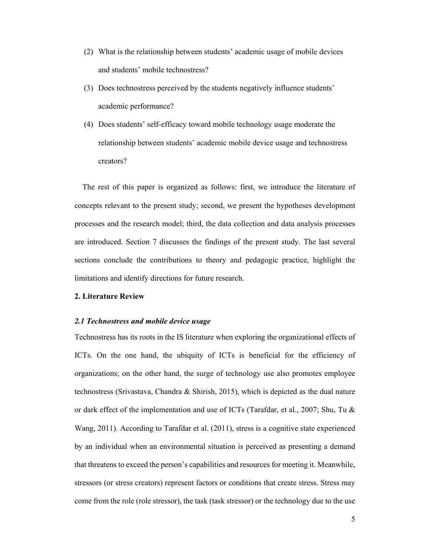- (2) What is the relationship between students' academic usage of mobile devices and students' mobile technostress?
- (3) Does technostress perceived by the students negatively influence students' academic performance?
- (4) Does students' self-efficacy toward mobile technology usage moderate the relationship between students' academic mobile device usage and technostress creators?

 The rest of this paper is organized as follows: first, we introduce the literature of concepts relevant to the present study; second, we present the hypotheses development processes and the research model; third, the data collection and data analysis processes are introduced. Section 7 discusses the findings of the present study. The last several sections conclude the contributions to theory and pedagogic practice, highlight the limitations and identify directions for future research.

#### **2. Literature Review**

#### *2.1 Technostress and mobile device usage*

Technostress has its roots in the IS literature when exploring the organizational effects of ICTs. On the one hand, the ubiquity of ICTs is beneficial for the efficiency of organizations; on the other hand, the surge of technology use also promotes employee technostress (Srivastava, Chandra & Shirish, 2015), which is depicted as the dual nature or dark effect of the implementation and use of ICTs (Tarafdar, et al., 2007; Shu, Tu & Wang, 2011). According to Tarafdar et al. (2011), stress is a cognitive state experienced by an individual when an environmental situation is perceived as presenting a demand that threatens to exceed the person's capabilities and resources for meeting it. Meanwhile, stressors (or stress creators) represent factors or conditions that create stress. Stress may come from the role (role stressor), the task (task stressor) or the technology due to the use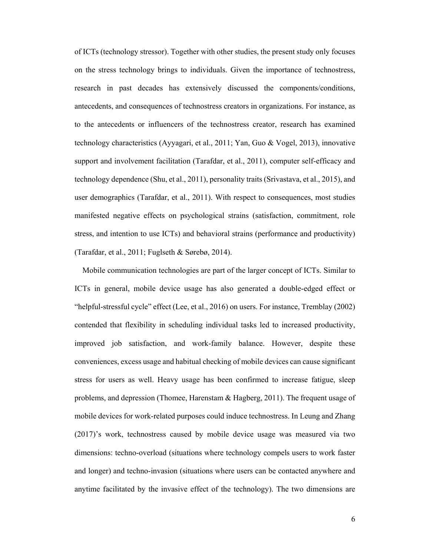of ICTs (technology stressor). Together with other studies, the present study only focuses on the stress technology brings to individuals. Given the importance of technostress, research in past decades has extensively discussed the components/conditions, antecedents, and consequences of technostress creators in organizations. For instance, as to the antecedents or influencers of the technostress creator, research has examined technology characteristics (Ayyagari, et al., 2011; Yan, Guo & Vogel, 2013), innovative support and involvement facilitation (Tarafdar, et al., 2011), computer self-efficacy and technology dependence (Shu, et al., 2011), personality traits (Srivastava, et al., 2015), and user demographics (Tarafdar, et al., 2011). With respect to consequences, most studies manifested negative effects on psychological strains (satisfaction, commitment, role stress, and intention to use ICTs) and behavioral strains (performance and productivity) (Tarafdar, et al., 2011; Fuglseth & Sørebø, 2014).

 Mobile communication technologies are part of the larger concept of ICTs. Similar to ICTs in general, mobile device usage has also generated a double-edged effect or "helpful-stressful cycle" effect (Lee, et al., 2016) on users. For instance, Tremblay (2002) contended that flexibility in scheduling individual tasks led to increased productivity, improved job satisfaction, and work-family balance. However, despite these conveniences, excess usage and habitual checking of mobile devices can cause significant stress for users as well. Heavy usage has been confirmed to increase fatigue, sleep problems, and depression (Thomee, Harenstam & Hagberg, 2011). The frequent usage of mobile devices for work-related purposes could induce technostress. In Leung and Zhang (2017)'s work, technostress caused by mobile device usage was measured via two dimensions: techno-overload (situations where technology compels users to work faster and longer) and techno-invasion (situations where users can be contacted anywhere and anytime facilitated by the invasive effect of the technology). The two dimensions are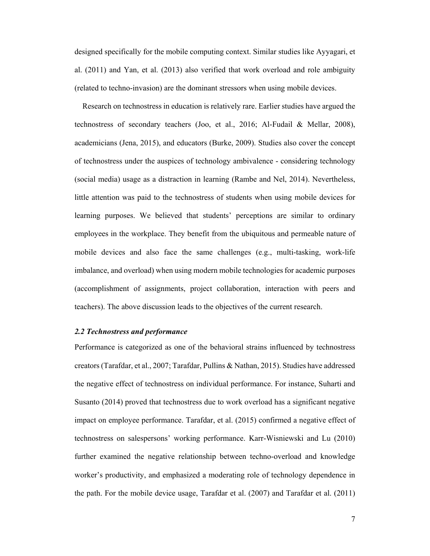designed specifically for the mobile computing context. Similar studies like Ayyagari, et al. (2011) and Yan, et al. (2013) also verified that work overload and role ambiguity (related to techno-invasion) are the dominant stressors when using mobile devices.

 Research on technostress in education is relatively rare. Earlier studies have argued the technostress of secondary teachers (Joo, et al., 2016; Al-Fudail & Mellar, 2008), academicians (Jena, 2015), and educators (Burke, 2009). Studies also cover the concept of technostress under the auspices of technology ambivalence - considering technology (social media) usage as a distraction in learning (Rambe and Nel, 2014). Nevertheless, little attention was paid to the technostress of students when using mobile devices for learning purposes. We believed that students' perceptions are similar to ordinary employees in the workplace. They benefit from the ubiquitous and permeable nature of mobile devices and also face the same challenges (e.g., multi-tasking, work-life imbalance, and overload) when using modern mobile technologies for academic purposes (accomplishment of assignments, project collaboration, interaction with peers and teachers). The above discussion leads to the objectives of the current research.

# *2.2 Technostress and performance*

Performance is categorized as one of the behavioral strains influenced by technostress creators (Tarafdar, et al., 2007; Tarafdar, Pullins & Nathan, 2015). Studies have addressed the negative effect of technostress on individual performance. For instance, Suharti and Susanto (2014) proved that technostress due to work overload has a significant negative impact on employee performance. Tarafdar, et al. (2015) confirmed a negative effect of technostress on salespersons' working performance. Karr-Wisniewski and Lu (2010) further examined the negative relationship between techno-overload and knowledge worker's productivity, and emphasized a moderating role of technology dependence in the path. For the mobile device usage, Tarafdar et al. (2007) and Tarafdar et al. (2011)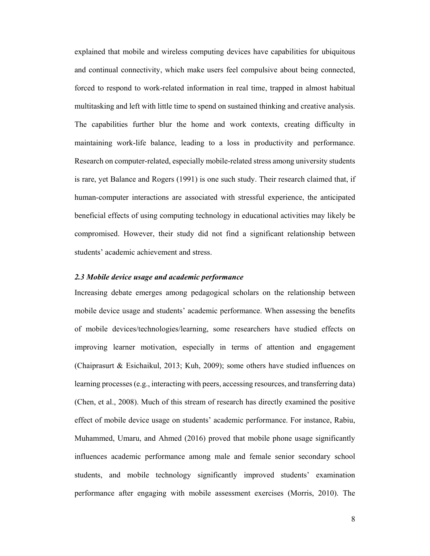explained that mobile and wireless computing devices have capabilities for ubiquitous and continual connectivity, which make users feel compulsive about being connected, forced to respond to work-related information in real time, trapped in almost habitual multitasking and left with little time to spend on sustained thinking and creative analysis. The capabilities further blur the home and work contexts, creating difficulty in maintaining work-life balance, leading to a loss in productivity and performance. Research on computer-related, especially mobile-related stress among university students is rare, yet Balance and Rogers (1991) is one such study. Their research claimed that, if human-computer interactions are associated with stressful experience, the anticipated beneficial effects of using computing technology in educational activities may likely be compromised. However, their study did not find a significant relationship between students' academic achievement and stress.

#### *2.3 Mobile device usage and academic performance*

Increasing debate emerges among pedagogical scholars on the relationship between mobile device usage and students' academic performance. When assessing the benefits of mobile devices/technologies/learning, some researchers have studied effects on improving learner motivation, especially in terms of attention and engagement (Chaiprasurt & Esichaikul, 2013; Kuh, 2009); some others have studied influences on learning processes (e.g., interacting with peers, accessing resources, and transferring data) (Chen, et al., 2008). Much of this stream of research has directly examined the positive effect of mobile device usage on students' academic performance. For instance, Rabiu, Muhammed, Umaru, and Ahmed (2016) proved that mobile phone usage significantly influences academic performance among male and female senior secondary school students, and mobile technology significantly improved students' examination performance after engaging with mobile assessment exercises (Morris, 2010). The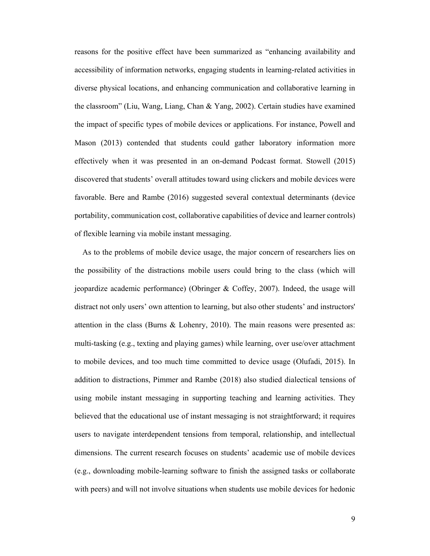reasons for the positive effect have been summarized as "enhancing availability and accessibility of information networks, engaging students in learning-related activities in diverse physical locations, and enhancing communication and collaborative learning in the classroom" (Liu, Wang, Liang, Chan & Yang, 2002). Certain studies have examined the impact of specific types of mobile devices or applications. For instance, Powell and Mason (2013) contended that students could gather laboratory information more effectively when it was presented in an on-demand Podcast format. Stowell (2015) discovered that students' overall attitudes toward using clickers and mobile devices were favorable. Bere and Rambe (2016) suggested several contextual determinants (device portability, communication cost, collaborative capabilities of device and learner controls) of flexible learning via mobile instant messaging.

 As to the problems of mobile device usage, the major concern of researchers lies on the possibility of the distractions mobile users could bring to the class (which will jeopardize academic performance) (Obringer & Coffey, 2007). Indeed, the usage will distract not only users' own attention to learning, but also other students' and instructors' attention in the class (Burns & Lohenry, 2010). The main reasons were presented as: multi-tasking (e.g., texting and playing games) while learning, over use/over attachment to mobile devices, and too much time committed to device usage (Olufadi, 2015). In addition to distractions, Pimmer and Rambe (2018) also studied dialectical tensions of using mobile instant messaging in supporting teaching and learning activities. They believed that the educational use of instant messaging is not straightforward; it requires users to navigate interdependent tensions from temporal, relationship, and intellectual dimensions. The current research focuses on students' academic use of mobile devices (e.g., downloading mobile-learning software to finish the assigned tasks or collaborate with peers) and will not involve situations when students use mobile devices for hedonic

9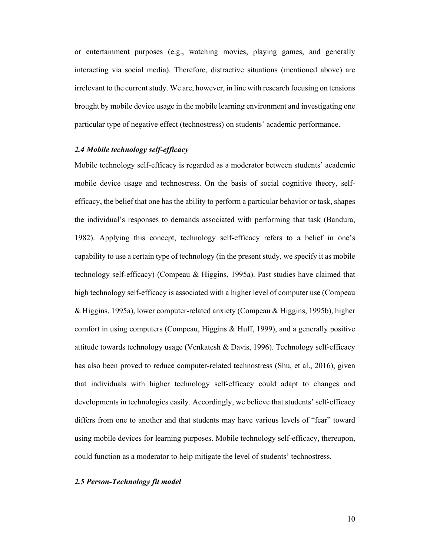or entertainment purposes (e.g., watching movies, playing games, and generally interacting via social media). Therefore, distractive situations (mentioned above) are irrelevant to the current study. We are, however, in line with research focusing on tensions brought by mobile device usage in the mobile learning environment and investigating one particular type of negative effect (technostress) on students' academic performance.

# *2.4 Mobile technology self-efficacy*

Mobile technology self-efficacy is regarded as a moderator between students' academic mobile device usage and technostress. On the basis of social cognitive theory, selfefficacy, the belief that one has the ability to perform a particular behavior or task, shapes the individual's responses to demands associated with performing that task (Bandura, 1982). Applying this concept, technology self-efficacy refers to a belief in one's capability to use a certain type of technology (in the present study, we specify it as mobile technology self-efficacy) (Compeau & Higgins, 1995a). Past studies have claimed that high technology self-efficacy is associated with a higher level of computer use (Compeau & Higgins, 1995a), lower computer-related anxiety (Compeau & Higgins, 1995b), higher comfort in using computers (Compeau, Higgins & Huff, 1999), and a generally positive attitude towards technology usage (Venkatesh & Davis, 1996). Technology self-efficacy has also been proved to reduce computer-related technostress (Shu, et al., 2016), given that individuals with higher technology self-efficacy could adapt to changes and developments in technologies easily. Accordingly, we believe that students' self-efficacy differs from one to another and that students may have various levels of "fear" toward using mobile devices for learning purposes. Mobile technology self-efficacy, thereupon, could function as a moderator to help mitigate the level of students' technostress.

#### *2.5 Person-Technology fit model*

10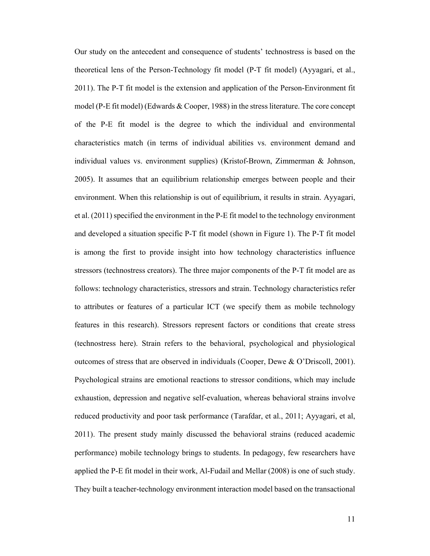Our study on the antecedent and consequence of students' technostress is based on the theoretical lens of the Person-Technology fit model (P-T fit model) (Ayyagari, et al., 2011). The P-T fit model is the extension and application of the Person-Environment fit model (P-E fit model) (Edwards & Cooper, 1988) in the stress literature. The core concept of the P-E fit model is the degree to which the individual and environmental characteristics match (in terms of individual abilities vs. environment demand and individual values vs. environment supplies) (Kristof-Brown, Zimmerman & Johnson, 2005). It assumes that an equilibrium relationship emerges between people and their environment. When this relationship is out of equilibrium, it results in strain. Ayyagari, et al. (2011) specified the environment in the P-E fit model to the technology environment and developed a situation specific P-T fit model (shown in Figure 1). The P-T fit model is among the first to provide insight into how technology characteristics influence stressors (technostress creators). The three major components of the P-T fit model are as follows: technology characteristics, stressors and strain. Technology characteristics refer to attributes or features of a particular ICT (we specify them as mobile technology features in this research). Stressors represent factors or conditions that create stress (technostress here). Strain refers to the behavioral, psychological and physiological outcomes of stress that are observed in individuals (Cooper, Dewe & O'Driscoll, 2001). Psychological strains are emotional reactions to stressor conditions, which may include exhaustion, depression and negative self-evaluation, whereas behavioral strains involve reduced productivity and poor task performance (Tarafdar, et al., 2011; Ayyagari, et al, 2011). The present study mainly discussed the behavioral strains (reduced academic performance) mobile technology brings to students. In pedagogy, few researchers have applied the P-E fit model in their work, Al-Fudail and Mellar (2008) is one of such study. They built a teacher-technology environment interaction model based on the transactional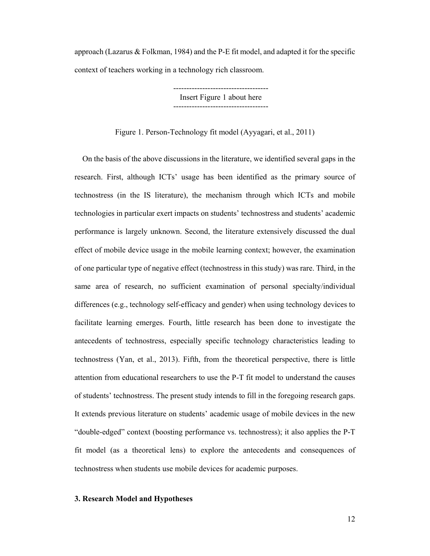approach (Lazarus  $\&$  Folkman, 1984) and the P-E fit model, and adapted it for the specific context of teachers working in a technology rich classroom.

> ------------------------------------ Insert Figure 1 about here ------------------------------------

Figure 1. Person-Technology fit model (Ayyagari, et al., 2011)

 On the basis of the above discussions in the literature, we identified several gaps in the research. First, although ICTs' usage has been identified as the primary source of technostress (in the IS literature), the mechanism through which ICTs and mobile technologies in particular exert impacts on students' technostress and students' academic performance is largely unknown. Second, the literature extensively discussed the dual effect of mobile device usage in the mobile learning context; however, the examination of one particular type of negative effect (technostress in this study) was rare. Third, in the same area of research, no sufficient examination of personal specialty/individual differences (e.g., technology self-efficacy and gender) when using technology devices to facilitate learning emerges. Fourth, little research has been done to investigate the antecedents of technostress, especially specific technology characteristics leading to technostress (Yan, et al., 2013). Fifth, from the theoretical perspective, there is little attention from educational researchers to use the P-T fit model to understand the causes of students' technostress. The present study intends to fill in the foregoing research gaps. It extends previous literature on students' academic usage of mobile devices in the new "double-edged" context (boosting performance vs. technostress); it also applies the P-T fit model (as a theoretical lens) to explore the antecedents and consequences of technostress when students use mobile devices for academic purposes.

# **3. Research Model and Hypotheses**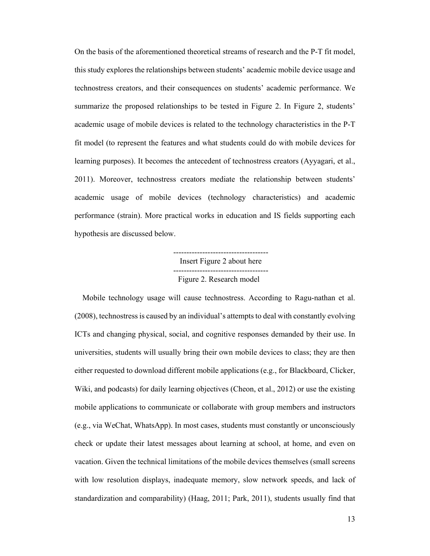On the basis of the aforementioned theoretical streams of research and the P-T fit model, this study explores the relationships between students' academic mobile device usage and technostress creators, and their consequences on students' academic performance. We summarize the proposed relationships to be tested in Figure 2. In Figure 2, students' academic usage of mobile devices is related to the technology characteristics in the P-T fit model (to represent the features and what students could do with mobile devices for learning purposes). It becomes the antecedent of technostress creators (Ayyagari, et al., 2011). Moreover, technostress creators mediate the relationship between students' academic usage of mobile devices (technology characteristics) and academic performance (strain). More practical works in education and IS fields supporting each hypothesis are discussed below.

> ------------------------------------ Insert Figure 2 about here ------------------------------------ Figure 2. Research model

 Mobile technology usage will cause technostress. According to Ragu-nathan et al. (2008), technostress is caused by an individual's attempts to deal with constantly evolving ICTs and changing physical, social, and cognitive responses demanded by their use. In universities, students will usually bring their own mobile devices to class; they are then either requested to download different mobile applications (e.g., for Blackboard, Clicker, Wiki, and podcasts) for daily learning objectives (Cheon, et al., 2012) or use the existing mobile applications to communicate or collaborate with group members and instructors (e.g., via WeChat, WhatsApp). In most cases, students must constantly or unconsciously check or update their latest messages about learning at school, at home, and even on vacation. Given the technical limitations of the mobile devices themselves (small screens with low resolution displays, inadequate memory, slow network speeds, and lack of standardization and comparability) (Haag, 2011; Park, 2011), students usually find that

13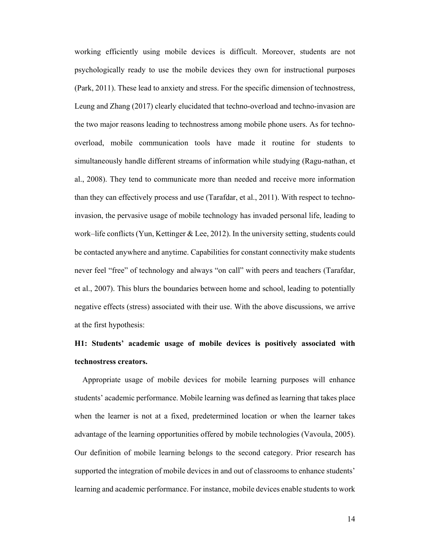working efficiently using mobile devices is difficult. Moreover, students are not psychologically ready to use the mobile devices they own for instructional purposes (Park, 2011). These lead to anxiety and stress. For the specific dimension of technostress, Leung and Zhang (2017) clearly elucidated that techno-overload and techno-invasion are the two major reasons leading to technostress among mobile phone users. As for technooverload, mobile communication tools have made it routine for students to simultaneously handle different streams of information while studying (Ragu-nathan, et al., 2008). They tend to communicate more than needed and receive more information than they can effectively process and use (Tarafdar, et al., 2011). With respect to technoinvasion, the pervasive usage of mobile technology has invaded personal life, leading to work–life conflicts (Yun, Kettinger & Lee, 2012). In the university setting, students could be contacted anywhere and anytime. Capabilities for constant connectivity make students never feel "free" of technology and always "on call" with peers and teachers (Tarafdar, et al., 2007). This blurs the boundaries between home and school, leading to potentially negative effects (stress) associated with their use. With the above discussions, we arrive at the first hypothesis:

# **H1: Students' academic usage of mobile devices is positively associated with technostress creators.**

 Appropriate usage of mobile devices for mobile learning purposes will enhance students' academic performance. Mobile learning was defined as learning that takes place when the learner is not at a fixed, predetermined location or when the learner takes advantage of the learning opportunities offered by mobile technologies (Vavoula, 2005). Our definition of mobile learning belongs to the second category. Prior research has supported the integration of mobile devices in and out of classrooms to enhance students' learning and academic performance. For instance, mobile devices enable students to work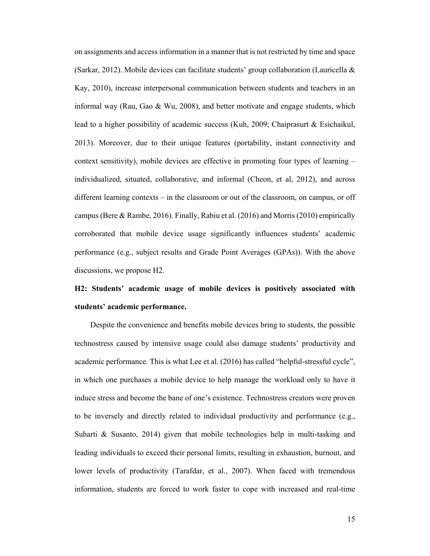on assignments and access information in a manner that is not restricted by time and space (Sarkar, 2012). Mobile devices can facilitate students' group collaboration (Lauricella & Kay, 2010), increase interpersonal communication between students and teachers in an informal way (Rau, Gao & Wu, 2008), and better motivate and engage students, which lead to a higher possibility of academic success (Kuh, 2009; Chaiprasurt & Esichaikul, 2013). Moreover, due to their unique features (portability, instant connectivity and context sensitivity), mobile devices are effective in promoting four types of learning – individualized, situated, collaborative, and informal (Cheon, et al, 2012), and across different learning contexts – in the classroom or out of the classroom, on campus, or off campus (Bere & Rambe, 2016). Finally, Rabiu et al. (2016) and Morris (2010) empirically corroborated that mobile device usage significantly influences students' academic performance (e.g., subject results and Grade Point Averages (GPAs)). With the above discussions, we propose H2.

# **H2: Students' academic usage of mobile devices is positively associated with students' academic performance.**

Despite the convenience and benefits mobile devices bring to students, the possible technostress caused by intensive usage could also damage students' productivity and academic performance. This is what Lee et al. (2016) has called "helpful-stressful cycle", in which one purchases a mobile device to help manage the workload only to have it induce stress and become the bane of one's existence. Technostress creators were proven to be inversely and directly related to individual productivity and performance (e.g., Suharti & Susanto, 2014) given that mobile technologies help in multi-tasking and leading individuals to exceed their personal limits, resulting in exhaustion, burnout, and lower levels of productivity (Tarafdar, et al., 2007). When faced with tremendous information, students are forced to work faster to cope with increased and real-time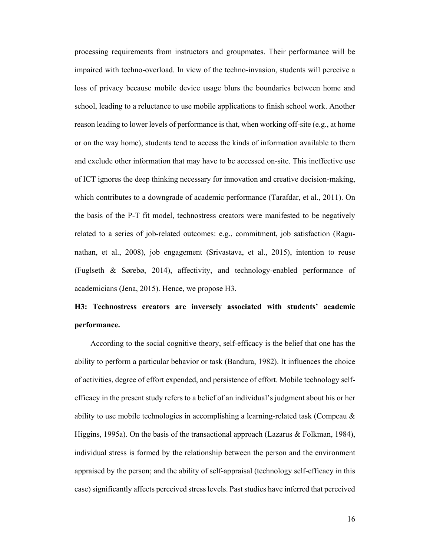processing requirements from instructors and groupmates. Their performance will be impaired with techno-overload. In view of the techno-invasion, students will perceive a loss of privacy because mobile device usage blurs the boundaries between home and school, leading to a reluctance to use mobile applications to finish school work. Another reason leading to lower levels of performance is that, when working off-site (e.g., at home or on the way home), students tend to access the kinds of information available to them and exclude other information that may have to be accessed on-site. This ineffective use of ICT ignores the deep thinking necessary for innovation and creative decision-making, which contributes to a downgrade of academic performance (Tarafdar, et al., 2011). On the basis of the P-T fit model, technostress creators were manifested to be negatively related to a series of job-related outcomes: e.g., commitment, job satisfaction (Ragunathan, et al., 2008), job engagement (Srivastava, et al., 2015), intention to reuse (Fuglseth & Sørebø, 2014), affectivity, and technology-enabled performance of academicians (Jena, 2015). Hence, we propose H3.

# **H3: Technostress creators are inversely associated with students' academic performance.**

According to the social cognitive theory, self-efficacy is the belief that one has the ability to perform a particular behavior or task (Bandura, 1982). It influences the choice of activities, degree of effort expended, and persistence of effort. Mobile technology selfefficacy in the present study refers to a belief of an individual's judgment about his or her ability to use mobile technologies in accomplishing a learning-related task (Compeau & Higgins, 1995a). On the basis of the transactional approach (Lazarus & Folkman, 1984), individual stress is formed by the relationship between the person and the environment appraised by the person; and the ability of self-appraisal (technology self-efficacy in this case) significantly affects perceived stress levels. Past studies have inferred that perceived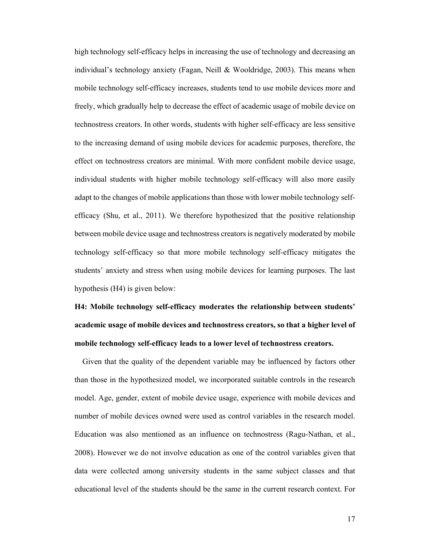high technology self-efficacy helps in increasing the use of technology and decreasing an individual's technology anxiety (Fagan, Neill & Wooldridge, 2003). This means when mobile technology self-efficacy increases, students tend to use mobile devices more and freely, which gradually help to decrease the effect of academic usage of mobile device on technostress creators. In other words, students with higher self-efficacy are less sensitive to the increasing demand of using mobile devices for academic purposes, therefore, the effect on technostress creators are minimal. With more confident mobile device usage, individual students with higher mobile technology self-efficacy will also more easily adapt to the changes of mobile applications than those with lower mobile technology selfefficacy (Shu, et al., 2011). We therefore hypothesized that the positive relationship between mobile device usage and technostress creators is negatively moderated by mobile technology self-efficacy so that more mobile technology self-efficacy mitigates the students' anxiety and stress when using mobile devices for learning purposes. The last hypothesis (H4) is given below:

**H4: Mobile technology self-efficacy moderates the relationship between students' academic usage of mobile devices and technostress creators, so that a higher level of mobile technology self-efficacy leads to a lower level of technostress creators.** 

 Given that the quality of the dependent variable may be influenced by factors other than those in the hypothesized model, we incorporated suitable controls in the research model. Age, gender, extent of mobile device usage, experience with mobile devices and number of mobile devices owned were used as control variables in the research model. Education was also mentioned as an influence on technostress (Ragu-Nathan, et al., 2008). However we do not involve education as one of the control variables given that data were collected among university students in the same subject classes and that educational level of the students should be the same in the current research context. For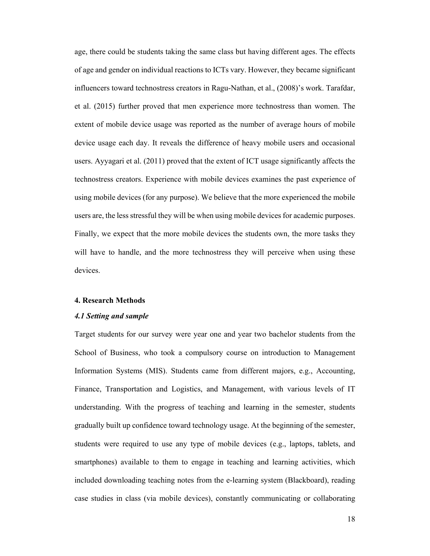age, there could be students taking the same class but having different ages. The effects of age and gender on individual reactions to ICTs vary. However, they became significant influencers toward technostress creators in Ragu-Nathan, et al., (2008)'s work. Tarafdar, et al. (2015) further proved that men experience more technostress than women. The extent of mobile device usage was reported as the number of average hours of mobile device usage each day. It reveals the difference of heavy mobile users and occasional users. Ayyagari et al. (2011) proved that the extent of ICT usage significantly affects the technostress creators. Experience with mobile devices examines the past experience of using mobile devices (for any purpose). We believe that the more experienced the mobile users are, the less stressful they will be when using mobile devices for academic purposes. Finally, we expect that the more mobile devices the students own, the more tasks they will have to handle, and the more technostress they will perceive when using these devices.

# **4. Research Methods**

# *4.1 Setting and sample*

Target students for our survey were year one and year two bachelor students from the School of Business, who took a compulsory course on introduction to Management Information Systems (MIS). Students came from different majors, e.g., Accounting, Finance, Transportation and Logistics, and Management, with various levels of IT understanding. With the progress of teaching and learning in the semester, students gradually built up confidence toward technology usage. At the beginning of the semester, students were required to use any type of mobile devices (e.g., laptops, tablets, and smartphones) available to them to engage in teaching and learning activities, which included downloading teaching notes from the e-learning system (Blackboard), reading case studies in class (via mobile devices), constantly communicating or collaborating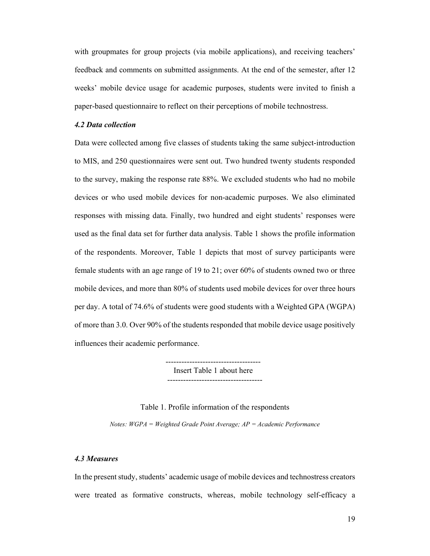with groupmates for group projects (via mobile applications), and receiving teachers' feedback and comments on submitted assignments. At the end of the semester, after 12 weeks' mobile device usage for academic purposes, students were invited to finish a paper-based questionnaire to reflect on their perceptions of mobile technostress.

# *4.2 Data collection*

Data were collected among five classes of students taking the same subject-introduction to MIS, and 250 questionnaires were sent out. Two hundred twenty students responded to the survey, making the response rate 88%. We excluded students who had no mobile devices or who used mobile devices for non-academic purposes. We also eliminated responses with missing data. Finally, two hundred and eight students' responses were used as the final data set for further data analysis. Table 1 shows the profile information of the respondents. Moreover, Table 1 depicts that most of survey participants were female students with an age range of 19 to 21; over 60% of students owned two or three mobile devices, and more than 80% of students used mobile devices for over three hours per day. A total of 74.6% of students were good students with a Weighted GPA (WGPA) of more than 3.0. Over 90% of the students responded that mobile device usage positively influences their academic performance.

Insert Table 1 about here

#### Table 1. Profile information of the respondents

*Notes: WGPA = Weighted Grade Point Average; AP = Academic Performance*

#### *4.3 Measures*

In the present study, students' academic usage of mobile devices and technostress creators were treated as formative constructs, whereas, mobile technology self-efficacy a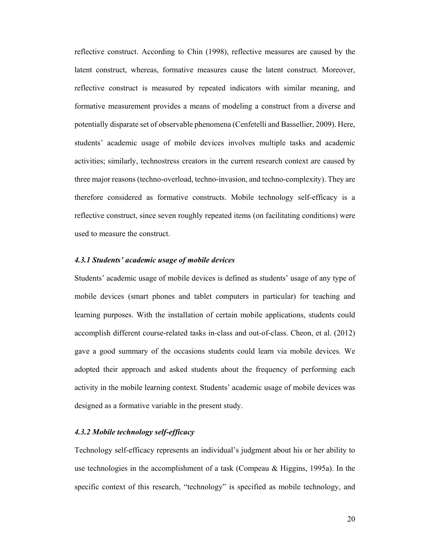reflective construct. According to Chin (1998), reflective measures are caused by the latent construct, whereas, formative measures cause the latent construct. Moreover, reflective construct is measured by repeated indicators with similar meaning, and formative measurement provides a means of modeling a construct from a diverse and potentially disparate set of observable phenomena (Cenfetelli and Bassellier, 2009). Here, students' academic usage of mobile devices involves multiple tasks and academic activities; similarly, technostress creators in the current research context are caused by three major reasons (techno-overload, techno-invasion, and techno-complexity). They are therefore considered as formative constructs. Mobile technology self-efficacy is a reflective construct, since seven roughly repeated items (on facilitating conditions) were used to measure the construct.

### *4.3.1 Students' academic usage of mobile devices*

Students' academic usage of mobile devices is defined as students' usage of any type of mobile devices (smart phones and tablet computers in particular) for teaching and learning purposes. With the installation of certain mobile applications, students could accomplish different course-related tasks in-class and out-of-class. Cheon, et al. (2012) gave a good summary of the occasions students could learn via mobile devices. We adopted their approach and asked students about the frequency of performing each activity in the mobile learning context. Students' academic usage of mobile devices was designed as a formative variable in the present study.

# *4.3.2 Mobile technology self-efficacy*

Technology self-efficacy represents an individual's judgment about his or her ability to use technologies in the accomplishment of a task (Compeau  $\&$  Higgins, 1995a). In the specific context of this research, "technology" is specified as mobile technology, and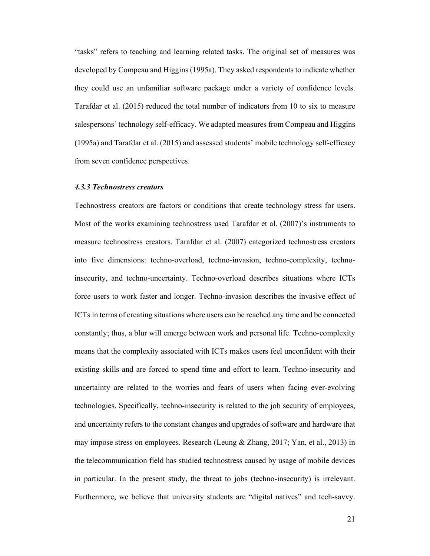"tasks" refers to teaching and learning related tasks. The original set of measures was developed by Compeau and Higgins (1995a). They asked respondents to indicate whether they could use an unfamiliar software package under a variety of confidence levels. Tarafdar et al. (2015) reduced the total number of indicators from 10 to six to measure salespersons' technology self-efficacy. We adapted measures from Compeau and Higgins (1995a) and Tarafdar et al. (2015) and assessed students' mobile technology self-efficacy from seven confidence perspectives.

#### *4.3.3 Technostress creators*

Technostress creators are factors or conditions that create technology stress for users. Most of the works examining technostress used Tarafdar et al. (2007)'s instruments to measure technostress creators. Tarafdar et al. (2007) categorized technostress creators into five dimensions: techno-overload, techno-invasion, techno-complexity, technoinsecurity, and techno-uncertainty. Techno-overload describes situations where ICTs force users to work faster and longer. Techno-invasion describes the invasive effect of ICTs in terms of creating situations where users can be reached any time and be connected constantly; thus, a blur will emerge between work and personal life. Techno-complexity means that the complexity associated with ICTs makes users feel unconfident with their existing skills and are forced to spend time and effort to learn. Techno-insecurity and uncertainty are related to the worries and fears of users when facing ever-evolving technologies. Specifically, techno-insecurity is related to the job security of employees, and uncertainty refers to the constant changes and upgrades of software and hardware that may impose stress on employees. Research (Leung & Zhang, 2017; Yan, et al., 2013) in the telecommunication field has studied technostress caused by usage of mobile devices in particular. In the present study, the threat to jobs (techno-insecurity) is irrelevant. Furthermore, we believe that university students are "digital natives" and tech-savvy.

21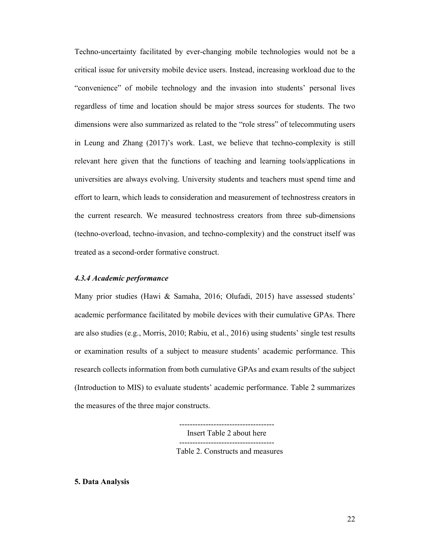Techno-uncertainty facilitated by ever-changing mobile technologies would not be a critical issue for university mobile device users. Instead, increasing workload due to the "convenience" of mobile technology and the invasion into students' personal lives regardless of time and location should be major stress sources for students. The two dimensions were also summarized as related to the "role stress" of telecommuting users in Leung and Zhang (2017)'s work. Last, we believe that techno-complexity is still relevant here given that the functions of teaching and learning tools/applications in universities are always evolving. University students and teachers must spend time and effort to learn, which leads to consideration and measurement of technostress creators in the current research. We measured technostress creators from three sub-dimensions (techno-overload, techno-invasion, and techno-complexity) and the construct itself was treated as a second-order formative construct.

# *4.3.4 Academic performance*

Many prior studies (Hawi & Samaha, 2016; Olufadi, 2015) have assessed students' academic performance facilitated by mobile devices with their cumulative GPAs. There are also studies (e.g., Morris, 2010; Rabiu, et al., 2016) using students' single test results or examination results of a subject to measure students' academic performance. This research collects information from both cumulative GPAs and exam results of the subject (Introduction to MIS) to evaluate students' academic performance. Table 2 summarizes the measures of the three major constructs.

> ------------------------------------ Insert Table 2 about here ------------------------------------ Table 2. Constructs and measures

**5. Data Analysis**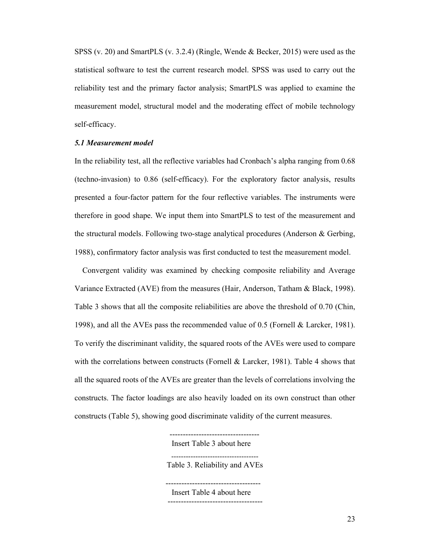SPSS (v. 20) and SmartPLS (v. 3.2.4) (Ringle, Wende & Becker, 2015) were used as the statistical software to test the current research model. SPSS was used to carry out the reliability test and the primary factor analysis; SmartPLS was applied to examine the measurement model, structural model and the moderating effect of mobile technology self-efficacy.

#### *5.1 Measurement model*

In the reliability test, all the reflective variables had Cronbach's alpha ranging from 0.68 (techno-invasion) to 0.86 (self-efficacy). For the exploratory factor analysis, results presented a four-factor pattern for the four reflective variables. The instruments were therefore in good shape. We input them into SmartPLS to test of the measurement and the structural models. Following two-stage analytical procedures (Anderson & Gerbing, 1988), confirmatory factor analysis was first conducted to test the measurement model.

 Convergent validity was examined by checking composite reliability and Average Variance Extracted (AVE) from the measures (Hair, Anderson, Tatham & Black, 1998). Table 3 shows that all the composite reliabilities are above the threshold of 0.70 (Chin, 1998), and all the AVEs pass the recommended value of 0.5 (Fornell & Larcker, 1981). To verify the discriminant validity, the squared roots of the AVEs were used to compare with the correlations between constructs (Fornell & Larcker, 1981). Table 4 shows that all the squared roots of the AVEs are greater than the levels of correlations involving the constructs. The factor loadings are also heavily loaded on its own construct than other constructs (Table 5), showing good discriminate validity of the current measures.

---------------------------------- Insert Table 3 about here ------------------------------------ Table 3. Reliability and AVEs ------------------------------------ Insert Table 4 about here

------------------------------------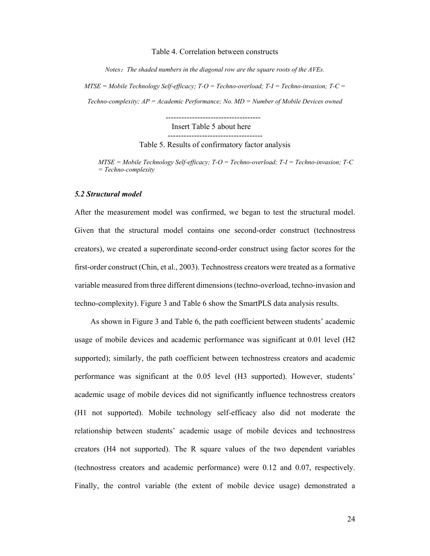#### Table 4. Correlation between constructs

*Notes*:*The shaded numbers in the diagonal row are the square roots of the AVEs.* 

*MTSE = Mobile Technology Self-efficacy; T-O = Techno-overload; T-I = Techno-invasion; T-C = Techno-complexity; AP = Academic Performance; No. MD = Number of Mobile Devices owned* 

 ------------------------------------ Insert Table 5 about here

------------------------------------

Table 5. Results of confirmatory factor analysis

*MTSE = Mobile Technology Self-efficacy; T-O = Techno-overload; T-I = Techno-invasion; T-C = Techno-complexity*

#### *5.2 Structural model*

After the measurement model was confirmed, we began to test the structural model. Given that the structural model contains one second-order construct (technostress creators), we created a superordinate second-order construct using factor scores for the first-order construct (Chin, et al., 2003). Technostress creators were treated as a formative variable measured from three different dimensions (techno-overload, techno-invasion and techno-complexity). Figure 3 and Table 6 show the SmartPLS data analysis results.

As shown in Figure 3 and Table 6, the path coefficient between students' academic usage of mobile devices and academic performance was significant at 0.01 level (H2 supported); similarly, the path coefficient between technostress creators and academic performance was significant at the 0.05 level (H3 supported). However, students' academic usage of mobile devices did not significantly influence technostress creators (H1 not supported). Mobile technology self-efficacy also did not moderate the relationship between students' academic usage of mobile devices and technostress creators (H4 not supported). The R square values of the two dependent variables (technostress creators and academic performance) were 0.12 and 0.07, respectively. Finally, the control variable (the extent of mobile device usage) demonstrated a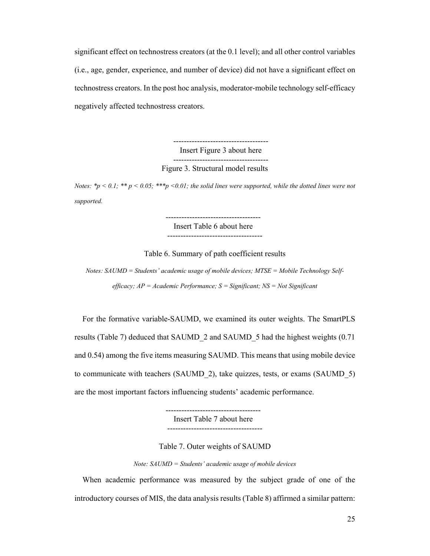significant effect on technostress creators (at the 0.1 level); and all other control variables (i.e., age, gender, experience, and number of device) did not have a significant effect on technostress creators. In the post hoc analysis, moderator-mobile technology self-efficacy negatively affected technostress creators.

> ------------------------------------ Insert Figure 3 about here ------------------------------------ Figure 3. Structural model results

*Notes:*  $* p < 0.1$ ;  $** p < 0.05$ ;  $*** p < 0.01$ ; the solid lines were supported, while the dotted lines were not *supported.*

 ------------------------------------ Insert Table 6 about here ------------------------------------

Table 6. Summary of path coefficient results

*Notes: SAUMD = Students' academic usage of mobile devices; MTSE = Mobile Technology Selfefficacy; AP = Academic Performance; S = Significant; NS = Not Significant* 

 For the formative variable-SAUMD, we examined its outer weights. The SmartPLS results (Table 7) deduced that SAUMD\_2 and SAUMD\_5 had the highest weights (0.71 and 0.54) among the five items measuring SAUMD. This means that using mobile device to communicate with teachers (SAUMD\_2), take quizzes, tests, or exams (SAUMD\_5) are the most important factors influencing students' academic performance.

> Insert Table 7 about here ------------------------------------

------------------------------------

Table 7. Outer weights of SAUMD

*Note: SAUMD = Students' academic usage of mobile devices*

 When academic performance was measured by the subject grade of one of the introductory courses of MIS, the data analysis results (Table 8) affirmed a similar pattern: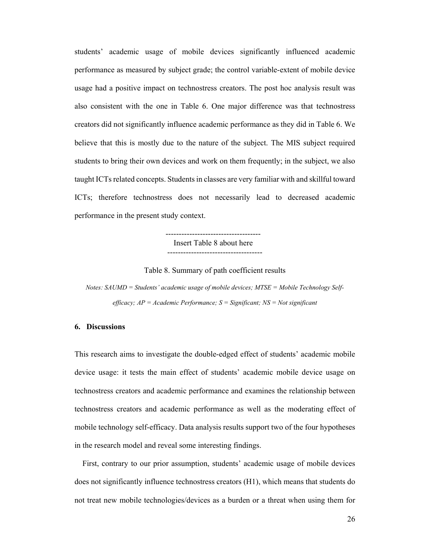students' academic usage of mobile devices significantly influenced academic performance as measured by subject grade; the control variable-extent of mobile device usage had a positive impact on technostress creators. The post hoc analysis result was also consistent with the one in Table 6. One major difference was that technostress creators did not significantly influence academic performance as they did in Table 6. We believe that this is mostly due to the nature of the subject. The MIS subject required students to bring their own devices and work on them frequently; in the subject, we also taught ICTs related concepts. Students in classes are very familiar with and skillful toward ICTs; therefore technostress does not necessarily lead to decreased academic performance in the present study context.

 ------------------------------------ Insert Table 8 about here ------------------------------------

Table 8. Summary of path coefficient results

*Notes: SAUMD = Students' academic usage of mobile devices; MTSE = Mobile Technology Selfefficacy; AP = Academic Performance; S = Significant; NS = Not significant*

# **6. Discussions**

This research aims to investigate the double-edged effect of students' academic mobile device usage: it tests the main effect of students' academic mobile device usage on technostress creators and academic performance and examines the relationship between technostress creators and academic performance as well as the moderating effect of mobile technology self-efficacy. Data analysis results support two of the four hypotheses in the research model and reveal some interesting findings.

 First, contrary to our prior assumption, students' academic usage of mobile devices does not significantly influence technostress creators (H1), which means that students do not treat new mobile technologies/devices as a burden or a threat when using them for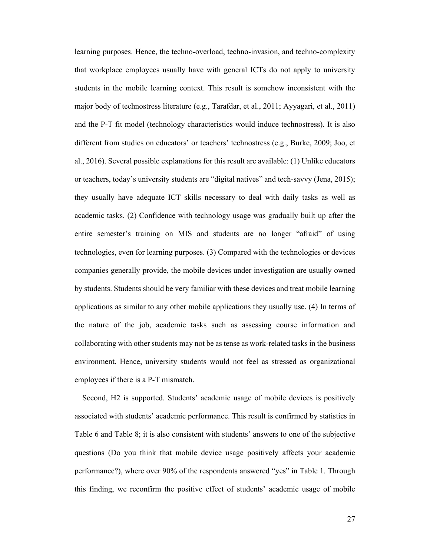learning purposes. Hence, the techno-overload, techno-invasion, and techno-complexity that workplace employees usually have with general ICTs do not apply to university students in the mobile learning context. This result is somehow inconsistent with the major body of technostress literature (e.g., Tarafdar, et al., 2011; Ayyagari, et al., 2011) and the P-T fit model (technology characteristics would induce technostress). It is also different from studies on educators' or teachers' technostress (e.g., Burke, 2009; Joo, et al., 2016). Several possible explanations for this result are available: (1) Unlike educators or teachers, today's university students are "digital natives" and tech-savvy (Jena, 2015); they usually have adequate ICT skills necessary to deal with daily tasks as well as academic tasks. (2) Confidence with technology usage was gradually built up after the entire semester's training on MIS and students are no longer "afraid" of using technologies, even for learning purposes. (3) Compared with the technologies or devices companies generally provide, the mobile devices under investigation are usually owned by students. Students should be very familiar with these devices and treat mobile learning applications as similar to any other mobile applications they usually use. (4) In terms of the nature of the job, academic tasks such as assessing course information and collaborating with other students may not be as tense as work-related tasks in the business environment. Hence, university students would not feel as stressed as organizational employees if there is a P-T mismatch.

 Second, H2 is supported. Students' academic usage of mobile devices is positively associated with students' academic performance. This result is confirmed by statistics in Table 6 and Table 8; it is also consistent with students' answers to one of the subjective questions (Do you think that mobile device usage positively affects your academic performance?), where over 90% of the respondents answered "yes" in Table 1. Through this finding, we reconfirm the positive effect of students' academic usage of mobile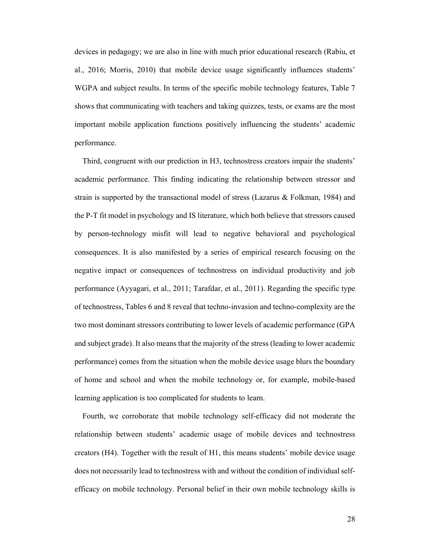devices in pedagogy; we are also in line with much prior educational research (Rabiu, et al., 2016; Morris, 2010) that mobile device usage significantly influences students' WGPA and subject results. In terms of the specific mobile technology features, Table 7 shows that communicating with teachers and taking quizzes, tests, or exams are the most important mobile application functions positively influencing the students' academic performance.

 Third, congruent with our prediction in H3, technostress creators impair the students' academic performance. This finding indicating the relationship between stressor and strain is supported by the transactional model of stress (Lazarus & Folkman, 1984) and the P-T fit model in psychology and IS literature, which both believe that stressors caused by person-technology misfit will lead to negative behavioral and psychological consequences. It is also manifested by a series of empirical research focusing on the negative impact or consequences of technostress on individual productivity and job performance (Ayyagari, et al., 2011; Tarafdar, et al., 2011). Regarding the specific type of technostress, Tables 6 and 8 reveal that techno-invasion and techno-complexity are the two most dominant stressors contributing to lower levels of academic performance (GPA and subject grade). It also means that the majority of the stress (leading to lower academic performance) comes from the situation when the mobile device usage blurs the boundary of home and school and when the mobile technology or, for example, mobile-based learning application is too complicated for students to learn.

 Fourth, we corroborate that mobile technology self-efficacy did not moderate the relationship between students' academic usage of mobile devices and technostress creators (H4). Together with the result of H1, this means students' mobile device usage does not necessarily lead to technostress with and without the condition of individual selfefficacy on mobile technology. Personal belief in their own mobile technology skills is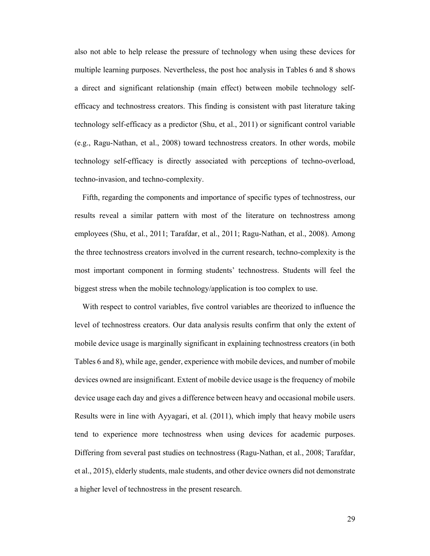also not able to help release the pressure of technology when using these devices for multiple learning purposes. Nevertheless, the post hoc analysis in Tables 6 and 8 shows a direct and significant relationship (main effect) between mobile technology selfefficacy and technostress creators. This finding is consistent with past literature taking technology self-efficacy as a predictor (Shu, et al., 2011) or significant control variable (e.g., Ragu-Nathan, et al., 2008) toward technostress creators. In other words, mobile technology self-efficacy is directly associated with perceptions of techno-overload, techno-invasion, and techno-complexity.

 Fifth, regarding the components and importance of specific types of technostress, our results reveal a similar pattern with most of the literature on technostress among employees (Shu, et al., 2011; Tarafdar, et al., 2011; Ragu-Nathan, et al., 2008). Among the three technostress creators involved in the current research, techno-complexity is the most important component in forming students' technostress. Students will feel the biggest stress when the mobile technology/application is too complex to use.

 With respect to control variables, five control variables are theorized to influence the level of technostress creators. Our data analysis results confirm that only the extent of mobile device usage is marginally significant in explaining technostress creators (in both Tables 6 and 8), while age, gender, experience with mobile devices, and number of mobile devices owned are insignificant. Extent of mobile device usage is the frequency of mobile device usage each day and gives a difference between heavy and occasional mobile users. Results were in line with Ayyagari, et al. (2011), which imply that heavy mobile users tend to experience more technostress when using devices for academic purposes. Differing from several past studies on technostress (Ragu-Nathan, et al., 2008; Tarafdar, et al., 2015), elderly students, male students, and other device owners did not demonstrate a higher level of technostress in the present research.

29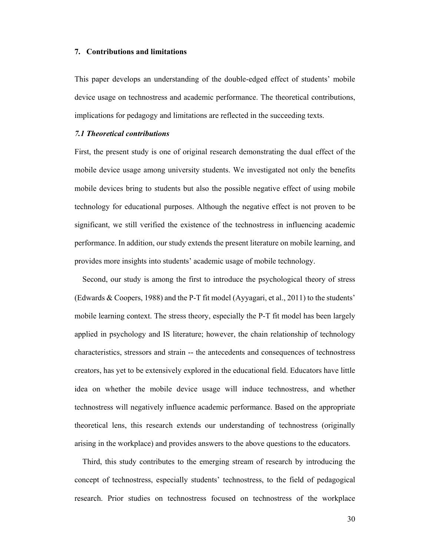#### **7. Contributions and limitations**

This paper develops an understanding of the double-edged effect of students' mobile device usage on technostress and academic performance. The theoretical contributions, implications for pedagogy and limitations are reflected in the succeeding texts.

#### *7.1 Theoretical contributions*

First, the present study is one of original research demonstrating the dual effect of the mobile device usage among university students. We investigated not only the benefits mobile devices bring to students but also the possible negative effect of using mobile technology for educational purposes. Although the negative effect is not proven to be significant, we still verified the existence of the technostress in influencing academic performance. In addition, our study extends the present literature on mobile learning, and provides more insights into students' academic usage of mobile technology.

 Second, our study is among the first to introduce the psychological theory of stress (Edwards & Coopers, 1988) and the P-T fit model (Ayyagari, et al., 2011) to the students' mobile learning context. The stress theory, especially the P-T fit model has been largely applied in psychology and IS literature; however, the chain relationship of technology characteristics, stressors and strain -- the antecedents and consequences of technostress creators, has yet to be extensively explored in the educational field. Educators have little idea on whether the mobile device usage will induce technostress, and whether technostress will negatively influence academic performance. Based on the appropriate theoretical lens, this research extends our understanding of technostress (originally arising in the workplace) and provides answers to the above questions to the educators.

 Third, this study contributes to the emerging stream of research by introducing the concept of technostress, especially students' technostress, to the field of pedagogical research. Prior studies on technostress focused on technostress of the workplace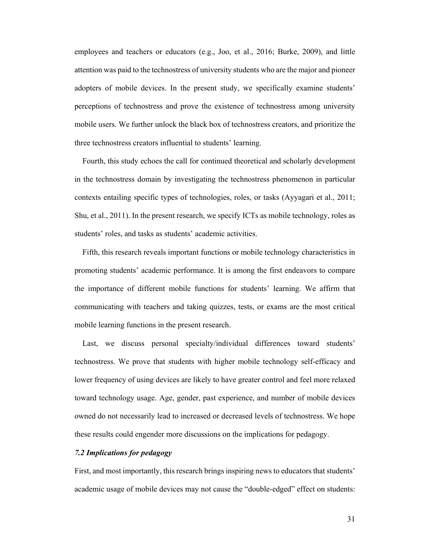employees and teachers or educators (e.g., Joo, et al., 2016; Burke, 2009), and little attention was paid to the technostress of university students who are the major and pioneer adopters of mobile devices. In the present study, we specifically examine students' perceptions of technostress and prove the existence of technostress among university mobile users. We further unlock the black box of technostress creators, and prioritize the three technostress creators influential to students' learning.

 Fourth, this study echoes the call for continued theoretical and scholarly development in the technostress domain by investigating the technostress phenomenon in particular contexts entailing specific types of technologies, roles, or tasks (Ayyagari et al., 2011; Shu, et al., 2011). In the present research, we specify ICTs as mobile technology, roles as students' roles, and tasks as students' academic activities.

 Fifth, this research reveals important functions or mobile technology characteristics in promoting students' academic performance. It is among the first endeavors to compare the importance of different mobile functions for students' learning. We affirm that communicating with teachers and taking quizzes, tests, or exams are the most critical mobile learning functions in the present research.

 Last, we discuss personal specialty/individual differences toward students' technostress. We prove that students with higher mobile technology self-efficacy and lower frequency of using devices are likely to have greater control and feel more relaxed toward technology usage. Age, gender, past experience, and number of mobile devices owned do not necessarily lead to increased or decreased levels of technostress. We hope these results could engender more discussions on the implications for pedagogy.

# *7.2 Implications for pedagogy*

First, and most importantly, this research brings inspiring news to educators that students' academic usage of mobile devices may not cause the "double-edged" effect on students: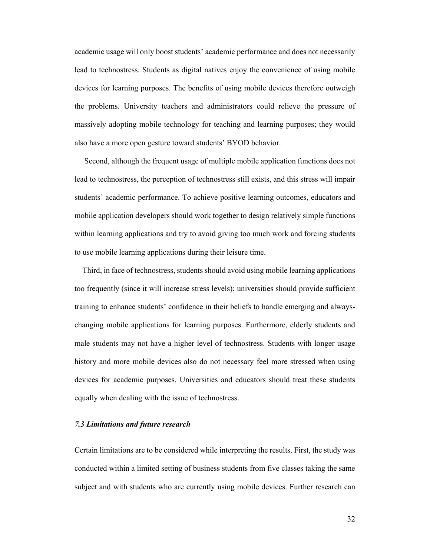academic usage will only boost students' academic performance and does not necessarily lead to technostress. Students as digital natives enjoy the convenience of using mobile devices for learning purposes. The benefits of using mobile devices therefore outweigh the problems. University teachers and administrators could relieve the pressure of massively adopting mobile technology for teaching and learning purposes; they would also have a more open gesture toward students' BYOD behavior.

 Second, although the frequent usage of multiple mobile application functions does not lead to technostress, the perception of technostress still exists, and this stress will impair students' academic performance. To achieve positive learning outcomes, educators and mobile application developers should work together to design relatively simple functions within learning applications and try to avoid giving too much work and forcing students to use mobile learning applications during their leisure time.

 Third, in face of technostress, students should avoid using mobile learning applications too frequently (since it will increase stress levels); universities should provide sufficient training to enhance students' confidence in their beliefs to handle emerging and alwayschanging mobile applications for learning purposes. Furthermore, elderly students and male students may not have a higher level of technostress. Students with longer usage history and more mobile devices also do not necessary feel more stressed when using devices for academic purposes. Universities and educators should treat these students equally when dealing with the issue of technostress.

#### *7.3 Limitations and future research*

Certain limitations are to be considered while interpreting the results. First, the study was conducted within a limited setting of business students from five classes taking the same subject and with students who are currently using mobile devices. Further research can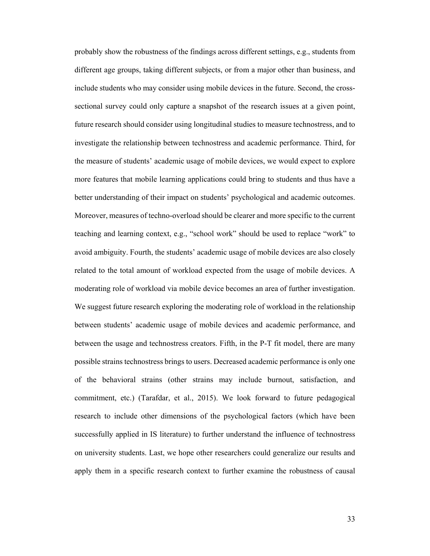probably show the robustness of the findings across different settings, e.g., students from different age groups, taking different subjects, or from a major other than business, and include students who may consider using mobile devices in the future. Second, the crosssectional survey could only capture a snapshot of the research issues at a given point, future research should consider using longitudinal studies to measure technostress, and to investigate the relationship between technostress and academic performance. Third, for the measure of students' academic usage of mobile devices, we would expect to explore more features that mobile learning applications could bring to students and thus have a better understanding of their impact on students' psychological and academic outcomes. Moreover, measures of techno-overload should be clearer and more specific to the current teaching and learning context, e.g., "school work" should be used to replace "work" to avoid ambiguity. Fourth, the students' academic usage of mobile devices are also closely related to the total amount of workload expected from the usage of mobile devices. A moderating role of workload via mobile device becomes an area of further investigation. We suggest future research exploring the moderating role of workload in the relationship between students' academic usage of mobile devices and academic performance, and between the usage and technostress creators. Fifth, in the P-T fit model, there are many possible strains technostress brings to users. Decreased academic performance is only one of the behavioral strains (other strains may include burnout, satisfaction, and commitment, etc.) (Tarafdar, et al., 2015). We look forward to future pedagogical research to include other dimensions of the psychological factors (which have been successfully applied in IS literature) to further understand the influence of technostress on university students. Last, we hope other researchers could generalize our results and apply them in a specific research context to further examine the robustness of causal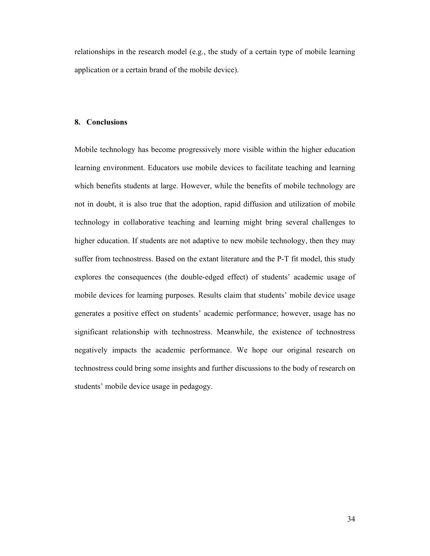relationships in the research model (e.g., the study of a certain type of mobile learning application or a certain brand of the mobile device).

#### **8. Conclusions**

Mobile technology has become progressively more visible within the higher education learning environment. Educators use mobile devices to facilitate teaching and learning which benefits students at large. However, while the benefits of mobile technology are not in doubt, it is also true that the adoption, rapid diffusion and utilization of mobile technology in collaborative teaching and learning might bring several challenges to higher education. If students are not adaptive to new mobile technology, then they may suffer from technostress. Based on the extant literature and the P-T fit model, this study explores the consequences (the double-edged effect) of students' academic usage of mobile devices for learning purposes. Results claim that students' mobile device usage generates a positive effect on students' academic performance; however, usage has no significant relationship with technostress. Meanwhile, the existence of technostress negatively impacts the academic performance. We hope our original research on technostress could bring some insights and further discussions to the body of research on students' mobile device usage in pedagogy.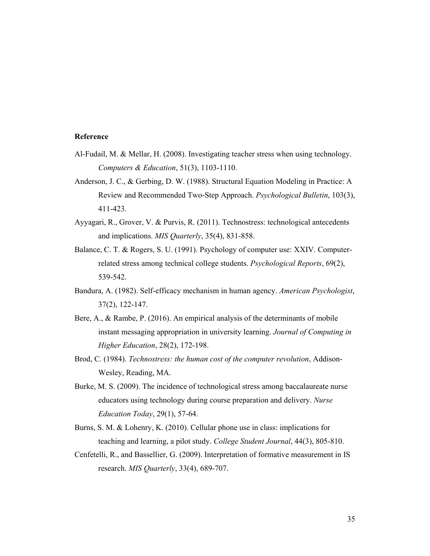# **Reference**

- Al-Fudail, M. & Mellar, H. (2008). Investigating teacher stress when using technology. *Computers & Education*, 51(3), 1103-1110.
- Anderson, J. C., & Gerbing, D. W. (1988). Structural Equation Modeling in Practice: A Review and Recommended Two-Step Approach. *Psychological Bulletin*, 103(3), 411-423.
- Ayyagari, R., Grover, V. & Purvis, R. (2011). Technostress: technological antecedents and implications. *MIS Quarterly*, 35(4), 831-858.
- Balance, C. T. & Rogers, S. U. (1991). Psychology of computer use: XXIV. Computerrelated stress among technical college students. *Psychological Reports*, 69(2), 539-542.
- Bandura, A. (1982). Self-efficacy mechanism in human agency. *American Psychologist*, 37(2), 122-147.
- Bere, A., & Rambe, P. (2016). An empirical analysis of the determinants of mobile instant messaging appropriation in university learning. *Journal of Computing in Higher Education*, 28(2), 172-198.
- Brod, C. (1984). *Technostress: the human cost of the computer revolution*, Addison-Wesley, Reading, MA.
- Burke, M. S. (2009). The incidence of technological stress among baccalaureate nurse educators using technology during course preparation and delivery. *Nurse Education Today*, 29(1), 57-64.
- Burns, S. M. & Lohenry, K. (2010). Cellular phone use in class: implications for teaching and learning, a pilot study. *College Student Journal*, 44(3), 805-810.
- Cenfetelli, R., and Bassellier, G. (2009). Interpretation of formative measurement in IS research. *MIS Quarterly*, 33(4), 689-707.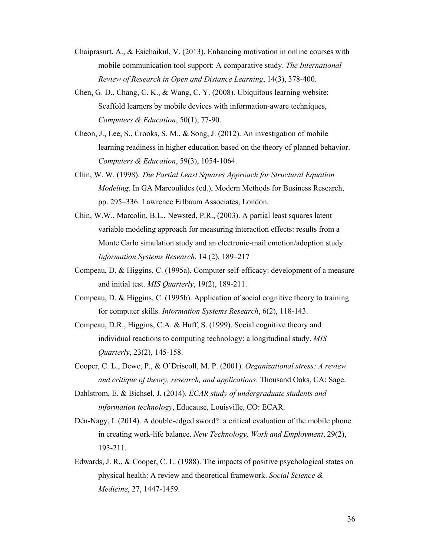- Chaiprasurt, A., & Esichaikul, V. (2013). Enhancing motivation in online courses with mobile communication tool support: A comparative study. *The International Review of Research in Open and Distance Learning*, 14(3), 378-400.
- Chen, G. D., Chang, C. K., & Wang, C. Y. (2008). Ubiquitous learning website: Scaffold learners by mobile devices with information-aware techniques, *Computers & Education*, 50(1), 77-90.
- Cheon, J., Lee, S., Crooks, S. M., & Song, J. (2012). An investigation of mobile learning readiness in higher education based on the theory of planned behavior. *Computers & Education*, 59(3), 1054-1064.
- Chin, W. W. (1998). *The Partial Least Squares Approach for Structural Equation Modeling*. In GA Marcoulides (ed.), Modern Methods for Business Research, pp. 295–336. Lawrence Erlbaum Associates, London.
- Chin, W.W., Marcolin, B.L., Newsted, P.R., (2003). A partial least squares latent variable modeling approach for measuring interaction effects: results from a Monte Carlo simulation study and an electronic-mail emotion/adoption study. *Information Systems Research*, 14 (2), 189–217
- Compeau, D. & Higgins, C. (1995a). Computer self-efficacy: development of a measure and initial test. *MIS Quarterly*, 19(2), 189-211.
- Compeau, D. & Higgins, C. (1995b). Application of social cognitive theory to training for computer skills. *Information Systems Research*, 6(2), 118-143.
- Compeau, D.R., Higgins, C.A. & Huff, S. (1999). Social cognitive theory and individual reactions to computing technology: a longitudinal study. *MIS Quarterly*, 23(2), 145-158.
- Cooper, C. L., Dewe, P., & O'Driscoll, M. P. (2001). *Organizational stress: A review and critique of theory, research, and applications*. Thousand Oaks, CA: Sage.
- Dahlstrom, E. & Bichsel, J. (2014). *ECAR study of undergraduate students and information technology*, Educause, Louisville, CO: ECAR.
- Dén-Nagy, I. (2014). A double-edged sword?: a critical evaluation of the mobile phone in creating work-life balance. *New Technology, Work and Employment*, 29(2), 193-211.
- Edwards, J. R., & Cooper, C. L. (1988). The impacts of positive psychological states on physical health: A review and theoretical framework. *Social Science & Medicine*, 27, 1447-1459.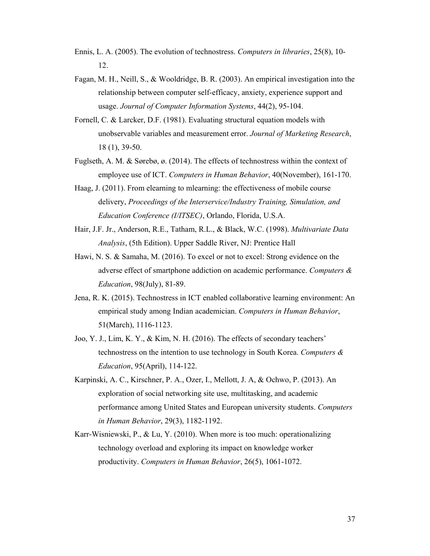- Ennis, L. A. (2005). The evolution of technostress. *Computers in libraries*, 25(8), 10- 12.
- Fagan, M. H., Neill, S., & Wooldridge, B. R. (2003). An empirical investigation into the relationship between computer self-efficacy, anxiety, experience support and usage. *Journal of Computer Information Systems*, 44(2), 95-104.
- Fornell, C. & Larcker, D.F. (1981). Evaluating structural equation models with unobservable variables and measurement error. *Journal of Marketing Research*, 18 (1), 39-50.
- Fuglseth, A. M. & Sørebø, ø. (2014). The effects of technostress within the context of employee use of ICT. *Computers in Human Behavior*, 40(November), 161-170.
- Haag, J. (2011). From elearning to mlearning: the effectiveness of mobile course delivery, *Proceedings of the Interservice/Industry Training, Simulation, and Education Conference (I/ITSEC)*, Orlando, Florida, U.S.A.
- Hair, J.F. Jr., Anderson, R.E., Tatham, R.L., & Black, W.C. (1998). *Multivariate Data Analysis*, (5th Edition). Upper Saddle River, NJ: Prentice Hall
- Hawi, N. S. & Samaha, M. (2016). To excel or not to excel: Strong evidence on the adverse effect of smartphone addiction on academic performance. *Computers & Education*, 98(July), 81-89.
- Jena, R. K. (2015). Technostress in ICT enabled collaborative learning environment: An empirical study among Indian academician. *Computers in Human Behavior*, 51(March), 1116-1123.
- Joo, Y. J., Lim, K. Y., & Kim, N. H. (2016). The effects of secondary teachers' technostress on the intention to use technology in South Korea. *Computers & Education*, 95(April), 114-122.
- Karpinski, A. C., Kirschner, P. A., Ozer, I., Mellott, J. A, & Ochwo, P. (2013). An exploration of social networking site use, multitasking, and academic performance among United States and European university students. *Computers in Human Behavior*, 29(3), 1182-1192.
- Karr-Wisniewski, P., & Lu, Y. (2010). When more is too much: operationalizing technology overload and exploring its impact on knowledge worker productivity. *Computers in Human Behavior*, 26(5), 1061-1072.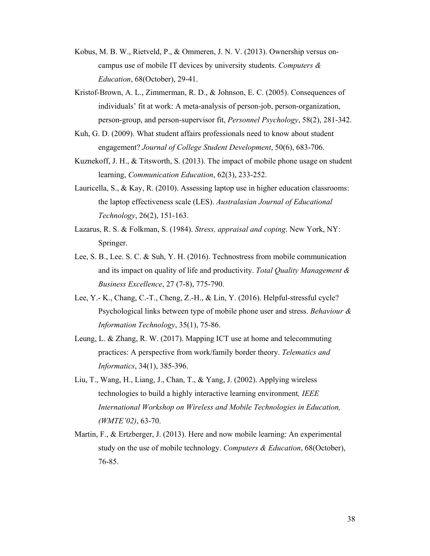- Kobus, M. B. W., Rietveld, P., & Ommeren, J. N. V. (2013). Ownership versus oncampus use of mobile IT devices by university students. *Computers & Education*, 68(October), 29-41.
- Kristof-Brown, A. L., Zimmerman, R. D., & Johnson, E. C. (2005). Consequences of individuals' fit at work: A meta-analysis of person-job, person-organization, person-group, and person-supervisor fit, *Personnel Psychology*, 58(2), 281-342.
- Kuh, G. D. (2009). What student affairs professionals need to know about student engagement? *Journal of College Student Development*, 50(6), 683-706.
- Kuznekoff, J. H., & Titsworth, S. (2013). The impact of mobile phone usage on student learning, *Communication Education*, 62(3), 233-252.
- Lauricella, S., & Kay, R. (2010). Assessing laptop use in higher education classrooms: the laptop effectiveness scale (LES). *Australasian Journal of Educational Technology*, 26(2), 151-163.
- Lazarus, R. S. & Folkman, S. (1984). *Stress, appraisal and coping*. New York, NY: Springer.
- Lee, S. B., Lee. S. C. & Suh, Y. H. (2016). Technostress from mobile communication and its impact on quality of life and productivity. *Total Quality Management & Business Excellence*, 27 (7-8), 775-790.
- Lee, Y.- K., Chang, C.-T., Cheng, Z.-H., & Lin, Y. (2016). Helpful-stressful cycle? Psychological links between type of mobile phone user and stress. *Behaviour & Information Technology*, 35(1), 75-86.
- Leung, L. & Zhang, R. W. (2017). Mapping ICT use at home and telecommuting practices: A perspective from work/family border theory. *Telematics and Informatics*, 34(1), 385-396.
- Liu, T., Wang, H., Liang, J., Chan, T., & Yang, J. (2002). Applying wireless technologies to build a highly interactive learning environment*, IEEE International Workshop on Wireless and Mobile Technologies in Education, (WMTE'02)*, 63-70.
- Martin, F., & Ertzberger, J. (2013). Here and now mobile learning: An experimental study on the use of mobile technology. *Computers & Education*, 68(October), 76-85.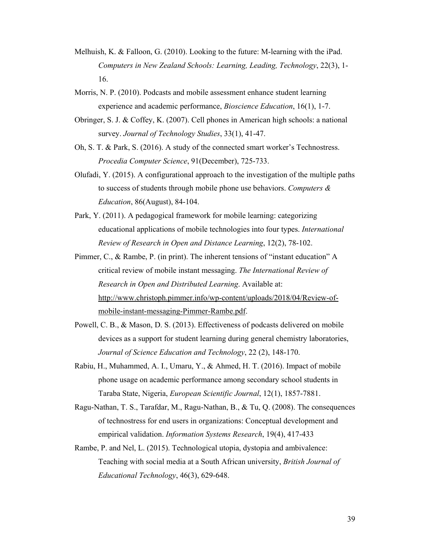- Melhuish, K. & Falloon, G. (2010). Looking to the future: M-learning with the iPad. *Computers in New Zealand Schools: Learning, Leading, Technology*, 22(3), 1- 16.
- Morris, N. P. (2010). Podcasts and mobile assessment enhance student learning experience and academic performance, *Bioscience Education*, 16(1), 1-7.
- Obringer, S. J. & Coffey, K. (2007). Cell phones in American high schools: a national survey. *Journal of Technology Studies*, 33(1), 41-47.
- Oh, S. T. & Park, S. (2016). A study of the connected smart worker's Technostress. *Procedia Computer Science*, 91(December), 725-733.
- Olufadi, Y. (2015). A configurational approach to the investigation of the multiple paths to success of students through mobile phone use behaviors. *Computers & Education*, 86(August), 84-104.
- Park, Y. (2011). A pedagogical framework for mobile learning: categorizing educational applications of mobile technologies into four types. *International Review of Research in Open and Distance Learning*, 12(2), 78-102.
- Pimmer, C., & Rambe, P. (in print). The inherent tensions of "instant education" A critical review of mobile instant messaging. *The International Review of Research in Open and Distributed Learning*. Available at: http://www.christoph.pimmer.info/wp-content/uploads/2018/04/Review-ofmobile-instant-messaging-Pimmer-Rambe.pdf.
- Powell, C. B., & Mason, D. S. (2013). Effectiveness of podcasts delivered on mobile devices as a support for student learning during general chemistry laboratories, *Journal of Science Education and Technology*, 22 (2), 148-170.
- Rabiu, H., Muhammed, A. I., Umaru, Y., & Ahmed, H. T. (2016). Impact of mobile phone usage on academic performance among secondary school students in Taraba State, Nigeria, *European Scientific Journal*, 12(1), 1857-7881.
- Ragu-Nathan, T. S., Tarafdar, M., Ragu-Nathan, B., & Tu, Q. (2008). The consequences of technostress for end users in organizations: Conceptual development and empirical validation. *Information Systems Research*, 19(4), 417-433
- Rambe, P. and Nel, L. (2015). Technological utopia, dystopia and ambivalence: Teaching with social media at a South African university, *British Journal of Educational Technology*, 46(3), 629-648.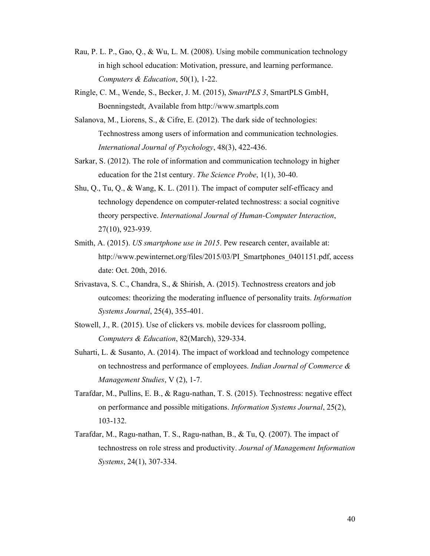- Rau, P. L. P., Gao, Q., & Wu, L. M. (2008). Using mobile communication technology in high school education: Motivation, pressure, and learning performance. *Computers & Education*, 50(1), 1-22.
- Ringle, C. M., Wende, S., Becker, J. M. (2015), *SmartPLS 3*, SmartPLS GmbH, Boenningstedt, Available from http://www.smartpls.com
- Salanova, M., Liorens, S., & Cifre, E. (2012). The dark side of technologies: Technostress among users of information and communication technologies. *International Journal of Psychology*, 48(3), 422-436.
- Sarkar, S. (2012). The role of information and communication technology in higher education for the 21st century. *The Science Probe*, 1(1), 30-40.
- Shu, Q., Tu, Q., & Wang, K. L. (2011). The impact of computer self-efficacy and technology dependence on computer-related technostress: a social cognitive theory perspective. *International Journal of Human-Computer Interaction*, 27(10), 923-939.
- Smith, A. (2015). *US smartphone use in 2015*. Pew research center, available at: http://www.pewinternet.org/files/2015/03/PI\_Smartphones\_0401151.pdf, access date: Oct. 20th, 2016.
- Srivastava, S. C., Chandra, S., & Shirish, A. (2015). Technostress creators and job outcomes: theorizing the moderating influence of personality traits. *Information Systems Journal*, 25(4), 355-401.
- Stowell, J., R. (2015). Use of clickers vs. mobile devices for classroom polling, *Computers & Education*, 82(March), 329-334.
- Suharti, L. & Susanto, A. (2014). The impact of workload and technology competence on technostress and performance of employees. *Indian Journal of Commerce & Management Studies*, V (2), 1-7.
- Tarafdar, M., Pullins, E. B., & Ragu-nathan, T. S. (2015). Technostress: negative effect on performance and possible mitigations. *Information Systems Journal*, 25(2), 103-132.
- Tarafdar, M., Ragu-nathan, T. S., Ragu-nathan, B., & Tu, Q. (2007). The impact of technostress on role stress and productivity. *Journal of Management Information Systems*, 24(1), 307-334.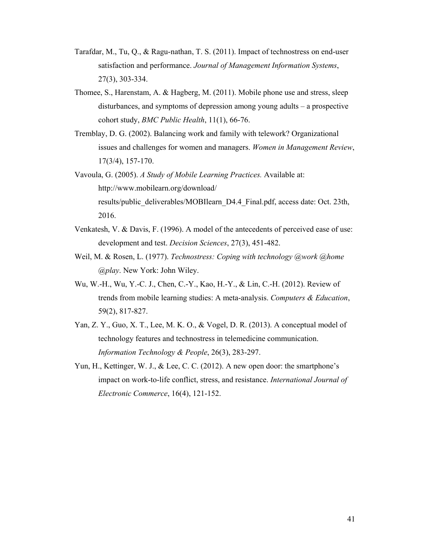- Tarafdar, M., Tu, Q., & Ragu-nathan, T. S. (2011). Impact of technostress on end-user satisfaction and performance. *Journal of Management Information Systems*, 27(3), 303-334.
- Thomee, S., Harenstam, A. & Hagberg, M. (2011). Mobile phone use and stress, sleep disturbances, and symptoms of depression among young adults – a prospective cohort study, *BMC Public Health*, 11(1), 66-76.
- Tremblay, D. G. (2002). Balancing work and family with telework? Organizational issues and challenges for women and managers. *Women in Management Review*, 17(3/4), 157-170.
- Vavoula, G. (2005). *A Study of Mobile Learning Practices.* Available at: http://www.mobilearn.org/download/ results/public\_deliverables/MOBIlearn\_D4.4\_Final.pdf, access date: Oct. 23th, 2016.
- Venkatesh, V. & Davis, F. (1996). A model of the antecedents of perceived ease of use: development and test. *Decision Sciences*, 27(3), 451-482.
- Weil, M. & Rosen, L. (1977). *Technostress: Coping with technology @work @home @play*. New York: John Wiley.
- Wu, W.-H., Wu, Y.-C. J., Chen, C.-Y., Kao, H.-Y., & Lin, C.-H. (2012). Review of trends from mobile learning studies: A meta-analysis. *Computers & Education*, 59(2), 817-827.
- Yan, Z. Y., Guo, X. T., Lee, M. K. O., & Vogel, D. R. (2013). A conceptual model of technology features and technostress in telemedicine communication. *Information Technology & People*, 26(3), 283-297.
- Yun, H., Kettinger, W. J., & Lee, C. C. (2012). A new open door: the smartphone's impact on work-to-life conflict, stress, and resistance. *International Journal of Electronic Commerce*, 16(4), 121-152.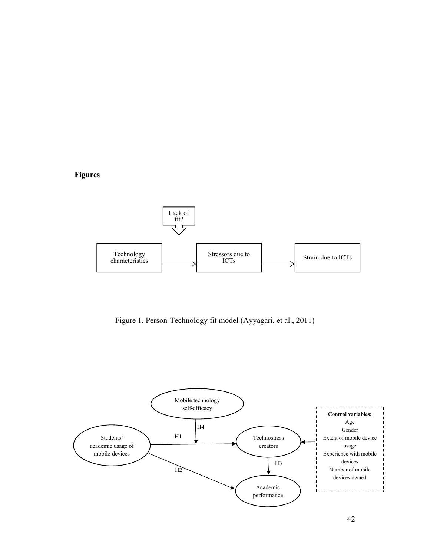**Figures** 



Figure 1. Person-Technology fit model (Ayyagari, et al., 2011)

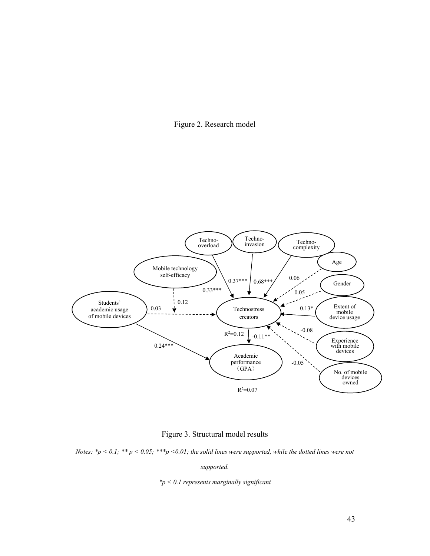



Figure 3. Structural model results

*Notes: \*p < 0.1; \*\* p < 0.05; \*\*\*p <0.01; the solid lines were supported, while the dotted lines were not* 

*supported.* 

*\*p < 0.1 represents marginally significant*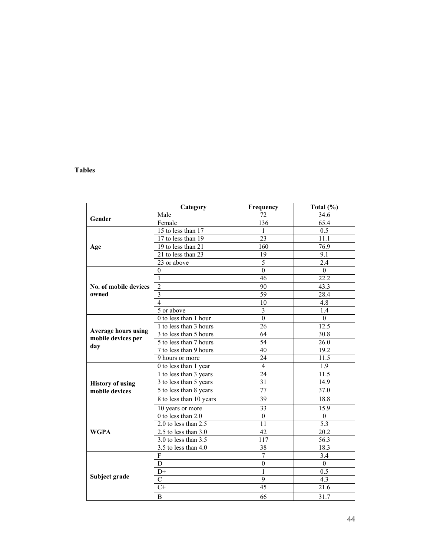# **Tables**

|                            | Category                 | Frequency        | Total (%)    |
|----------------------------|--------------------------|------------------|--------------|
| Gender                     | Male                     | 72               | 34.6         |
|                            | Female                   | 136              | 65.4         |
|                            | 15 to less than 17       | 1                | 0.5          |
|                            | 17 to less than 19       | $\overline{23}$  | 11.1         |
| Age                        | 19 to less than 21       | 160              | 76.9         |
|                            | 21 to less than 23       | 19               | 9.1          |
|                            | 23 or above              | 5                | 2.4          |
|                            | $\theta$                 | $\mathbf{0}$     | $\theta$     |
|                            | $\mathbf{1}$             | 46               | 22.2         |
| No. of mobile devices      | $\overline{2}$           | 90               | 43.3         |
| owned                      | $\overline{\mathbf{3}}$  | 59               | 28.4         |
|                            | $\overline{4}$           | 10               | 4.8          |
|                            | 5 or above               | $\overline{3}$   | 1.4          |
|                            | 0 to less than 1 hour    | $\overline{0}$   | $\theta$     |
|                            | 1 to less than 3 hours   | 26               | 12.5         |
| <b>Average hours using</b> | 3 to less than 5 hours   | 64               | 30.8         |
| mobile devices per         | 5 to less than 7 hours   | 54               | 26.0         |
| day                        | 7 to less than 9 hours   | 40               | 19.2         |
|                            | 9 hours or more          | 24               | 11.5         |
|                            | 0 to less than 1 year    | $\overline{4}$   | 1.9          |
|                            | 1 to less than 3 years   | 24               | 11.5         |
| <b>History of using</b>    | 3 to less than 5 years   | 31               | 14.9         |
| mobile devices             | 5 to less than 8 years   | 77               | 37.0         |
|                            | 8 to less than 10 years  | 39               | 18.8         |
|                            | 10 years or more         | 33               | 15.9         |
|                            | 0 to less than 2.0       | $\boldsymbol{0}$ | $\mathbf{0}$ |
|                            | 2.0 to less than 2.5     | 11               | 5.3          |
| <b>WGPA</b>                | 2.5 to less than 3.0     | 42               | 20.2         |
|                            | $3.0$ to less than $3.5$ | 117              | 56.3         |
|                            | $3.5$ to less than $4.0$ | 38               | 18.3         |
|                            | F                        | 7                | 3.4          |
|                            | D                        | $\mathbf{0}$     | $\mathbf{0}$ |
|                            | $D+$                     | 1                | 0.5          |
| Subject grade              | $\mathcal{C}$            | 9                | 4.3          |
|                            | $C+$                     | 45               | 21.6         |
|                            | B                        | 66               | 31.7         |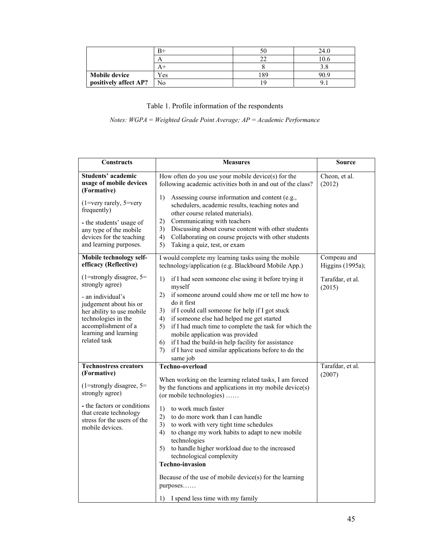|                       |     |    | 24.0 |
|-----------------------|-----|----|------|
|                       |     |    | 10.6 |
|                       |     |    | ں .  |
| <b>Mobile device</b>  | Yes | 89 | 90.9 |
| positively affect AP? | No  |    |      |

# Table 1. Profile information of the respondents

*Notes: WGPA = Weighted Grade Point Average; AP = Academic Performance*

| <b>Constructs</b>                                                                                                                                                                                                             | <b>Measures</b>                                                                                                                                                                                                                                                                                                                                                                                                                                                                                                                                                                                        | Source                          |
|-------------------------------------------------------------------------------------------------------------------------------------------------------------------------------------------------------------------------------|--------------------------------------------------------------------------------------------------------------------------------------------------------------------------------------------------------------------------------------------------------------------------------------------------------------------------------------------------------------------------------------------------------------------------------------------------------------------------------------------------------------------------------------------------------------------------------------------------------|---------------------------------|
| <b>Students' academic</b><br>usage of mobile devices<br>(Formative)<br>$(1=very \, rarely, 5=very$<br>frequently)<br>- the students' usage of<br>any type of the mobile<br>devices for the teaching<br>and learning purposes. | How often do you use your mobile device(s) for the<br>following academic activities both in and out of the class?<br>Assessing course information and content (e.g.,<br>1)<br>schedulers, academic results, teaching notes and<br>other course related materials).<br>Communicating with teachers<br>2)<br>Discussing about course content with other students<br>3)<br>Collaborating on course projects with other students<br>4)<br>Taking a quiz, test, or exam<br>5)                                                                                                                               | Cheon, et al.<br>(2012)         |
| Mobile technology self-<br>efficacy (Reflective)                                                                                                                                                                              | I would complete my learning tasks using the mobile<br>technology/application (e.g. Blackboard Mobile App.)                                                                                                                                                                                                                                                                                                                                                                                                                                                                                            | Compeau and<br>Higgins (1995a); |
| $(1=strongly disagree, 5=$<br>strongly agree)<br>- an individual's<br>judgement about his or<br>her ability to use mobile<br>technologies in the<br>accomplishment of a<br>learning and learning<br>related task              | if I had seen someone else using it before trying it<br>1)<br>myself<br>2) if someone around could show me or tell me how to<br>do it first<br>if I could call someone for help if I got stuck<br>3)<br>if someone else had helped me get started<br>4)<br>if I had much time to complete the task for which the<br>5)<br>mobile application was provided<br>if I had the build-in help facility for assistance<br>6)<br>if I have used similar applications before to do the<br>7)<br>same job                                                                                                        | Tarafdar, et al.<br>(2015)      |
| <b>Technostress creators</b><br>(Formative)<br>$(1=strongly disagree, 5=$<br>strongly agree)<br>- the factors or conditions<br>that create technology<br>stress for the users of the<br>mobile devices.                       | <b>Techno-overload</b><br>When working on the learning related tasks, I am forced<br>by the functions and applications in my mobile device(s)<br>(or mobile technologies)<br>1)<br>to work much faster<br>2)<br>to do more work than I can handle<br>to work with very tight time schedules<br>3)<br>to change my work habits to adapt to new mobile<br>4)<br>technologies<br>to handle higher workload due to the increased<br>5)<br>technological complexity<br><b>Techno-invasion</b><br>Because of the use of mobile device(s) for the learning<br>purposes<br>1) I spend less time with my family | Tarafdar, et al.<br>(2007)      |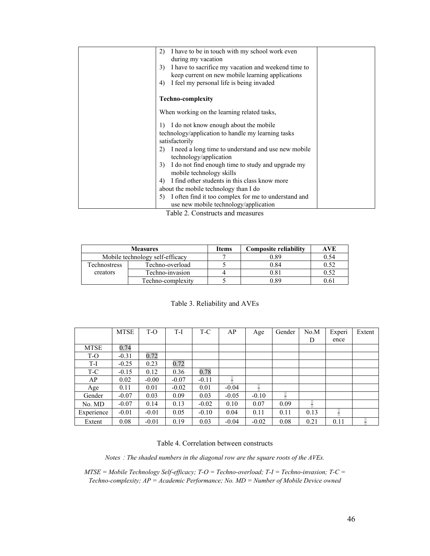| 2)           | I have to be in touch with my school work even<br>during my vacation                         |  |
|--------------|----------------------------------------------------------------------------------------------|--|
|              | 3) I have to sacrifice my vacation and weekend time to                                       |  |
| 4)           | keep current on new mobile learning applications<br>I feel my personal life is being invaded |  |
|              | <b>Techno-complexity</b>                                                                     |  |
|              | When working on the learning related tasks,                                                  |  |
| $\mathbf{D}$ | I do not know enough about the mobile                                                        |  |
|              | technology/application to handle my learning tasks<br>satisfactorily                         |  |
|              | I need a long time to understand and use new mobile<br>technology/application                |  |
| 3)           | I do not find enough time to study and upgrade my<br>mobile technology skills                |  |
| 4)           | I find other students in this class know more                                                |  |
|              | about the mobile technology than I do                                                        |  |
| 5)           | I often find it too complex for me to understand and                                         |  |
|              | use new mobile technology/application                                                        |  |

Table 2. Constructs and measures

|                     | <b>Measures</b>                 | <b>Items</b> | <b>Composite reliability</b> | AVE  |
|---------------------|---------------------------------|--------------|------------------------------|------|
|                     | Mobile technology self-efficacy |              | 0.89                         | 0.54 |
| <b>Technostress</b> | Techno-overload                 |              | 0.84                         | 0.52 |
| creators            | Techno-invasion                 |              | 0.81                         |      |
|                     | Techno-complexity               |              | 0.89                         |      |

| Table 3. Reliability and AVEs |  |
|-------------------------------|--|
|-------------------------------|--|

|             | <b>MTSE</b> | $T-O$   | T-I     | T-C     | AP      | Age     | Gender | No.M | Experi | Extent |
|-------------|-------------|---------|---------|---------|---------|---------|--------|------|--------|--------|
|             |             |         |         |         |         |         |        | D    | ence   |        |
| <b>MTSE</b> | 0.74        |         |         |         |         |         |        |      |        |        |
| T-O         | $-0.31$     | 0.72    |         |         |         |         |        |      |        |        |
| T-I         | $-0.25$     | 0.23    | 0.72    |         |         |         |        |      |        |        |
| T-C         | $-0.15$     | 0.12    | 0.36    | 0.78    |         |         |        |      |        |        |
| AP          | 0.02        | $-0.00$ | $-0.07$ | $-0.11$ |         |         |        |      |        |        |
| Age         | 0.11        | 0.01    | $-0.02$ | 0.01    | $-0.04$ |         |        |      |        |        |
| Gender      | $-0.07$     | 0.03    | 0.09    | 0.03    | $-0.05$ | $-0.10$ |        |      |        |        |
| No. MD      | $-0.07$     | 0.14    | 0.13    | $-0.02$ | 0.10    | 0.07    | 0.09   |      |        |        |
| Experience  | $-0.01$     | $-0.01$ | 0.05    | $-0.10$ | 0.04    | 0.11    | 0.11   | 0.13 |        |        |
| Extent      | 0.08        | $-0.01$ | 0.19    | 0.03    | $-0.04$ | $-0.02$ | 0.08   | 0.21 | 0.11   |        |

#### Table 4. Correlation between constructs

*Notes*:*The shaded numbers in the diagonal row are the square roots of the AVEs.* 

*MTSE = Mobile Technology Self-efficacy; T-O = Techno-overload; T-I = Techno-invasion; T-C = Techno-complexity; AP = Academic Performance; No. MD = Number of Mobile Device owned*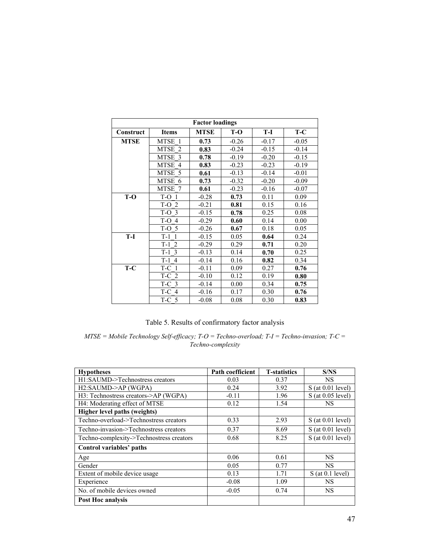| <b>Factor loadings</b> |                              |             |         |         |         |
|------------------------|------------------------------|-------------|---------|---------|---------|
| Construct              | <b>Items</b>                 | <b>MTSE</b> | $T-O$   | T-I     | $T-C$   |
| <b>MTSE</b>            | MTSE 1                       | 0.73        | $-0.26$ | $-0.17$ | $-0.05$ |
|                        | <b>MTSE</b><br>$\mathcal{L}$ | 0.83        | $-0.24$ | $-0.15$ | $-0.14$ |
|                        | MTSE 3                       | 0.78        | $-0.19$ | $-0.20$ | $-0.15$ |
|                        | MTSE 4                       | 0.83        | $-0.23$ | $-0.23$ | $-0.19$ |
|                        | MTSE 5                       | 0.61        | $-0.13$ | $-0.14$ | $-0.01$ |
|                        | MTSE<br>6                    | 0.73        | $-0.32$ | $-0.20$ | $-0.09$ |
|                        | MTSE 7                       | 0.61        | $-0.23$ | $-0.16$ | $-0.07$ |
| T-O                    | $T-O$ 1                      | $-0.28$     | 0.73    | 0.11    | 0.09    |
|                        | $T-O$ 2                      | $-0.21$     | 0.81    | 0.15    | 0.16    |
|                        | $T-O3$                       | $-0.15$     | 0.78    | 0.25    | 0.08    |
|                        | T-O<br>$\overline{4}$        | $-0.29$     | 0.60    | 0.14    | 0.00    |
|                        | $T-O5$                       | $-0.26$     | 0.67    | 0.18    | 0.05    |
| T-I                    | $T-1$<br>$\mathbf{1}$        | $-0.15$     | 0.05    | 0.64    | 0.24    |
|                        | $T-1$<br>2                   | $-0.29$     | 0.29    | 0.71    | 0.20    |
|                        | $T-1$ 3                      | $-0.13$     | 0.14    | 0.70    | 0.25    |
|                        | $T-1$<br>$\overline{4}$      | $-0.14$     | 0.16    | 0.82    | 0.34    |
| $T-C$                  | T-C<br>-1                    | $-0.11$     | 0.09    | 0.27    | 0.76    |
|                        | T-C 2                        | $-0.10$     | 0.12    | 0.19    | 0.80    |
|                        | $T-C$ 3                      | $-0.14$     | 0.00    | 0.34    | 0.75    |
|                        | T-C 4                        | $-0.16$     | 0.17    | 0.30    | 0.76    |
|                        | $T-C5$                       | $-0.08$     | 0.08    | 0.30    | 0.83    |

# Table 5. Results of confirmatory factor analysis

*MTSE = Mobile Technology Self-efficacy; T-O = Techno-overload; T-I = Techno-invasion; T-C = Techno-complexity* 

| <b>Hypotheses</b>                        | Path coefficient | <b>T</b> -statistics | S/NS                |
|------------------------------------------|------------------|----------------------|---------------------|
| H1:SAUMD->Technostress creators          | 0.03             | 0.37                 | <b>NS</b>           |
| H2:SAUMD->AP (WGPA)                      | 0.24             | 3.92                 | $S$ (at 0.01 level) |
| H3: Technostress creators->AP (WGPA)     | $-0.11$          | 1.96                 | $S$ (at 0.05 level) |
| H4: Moderating effect of MTSE            | 0.12             | 1.54                 | <b>NS</b>           |
| Higher level paths (weights)             |                  |                      |                     |
| Techno-overload->Technostress creators   | 0.33             | 2.93                 | $S$ (at 0.01 level) |
| Techno-invasion->Technostress creators   | 0.37             | 8.69                 | $S$ (at 0.01 level) |
| Techno-complexity->Technostress creators | 0.68             | 8.25                 | $S$ (at 0.01 level) |
| Control variables' paths                 |                  |                      |                     |
| Age                                      | 0.06             | 0.61                 | NS                  |
| Gender                                   | 0.05             | 0.77                 | NS.                 |
| Extent of mobile device usage            | 0.13             | 1.71                 | $S$ (at 0.1 level)  |
| Experience                               | $-0.08$          | 1.09                 | NS.                 |
| No. of mobile devices owned              | $-0.05$          | 0.74                 | <b>NS</b>           |
| Post Hoc analysis                        |                  |                      |                     |